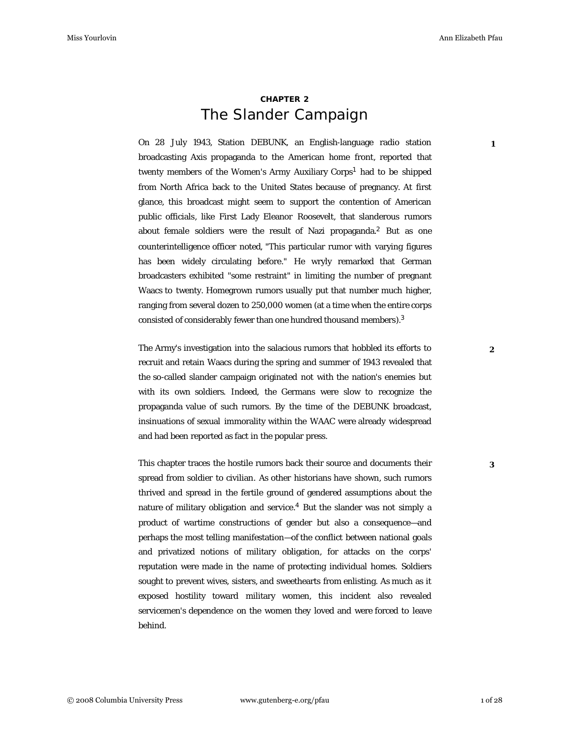**1**

## **CHAPTER 2** The Slander Campaign

On 28 July 1943, Station DEBUNK, an English-language radio station broadcasting Axis propaganda to the American home front, reported that twenty members of the Women's Army Auxiliary Corps<sup>1</sup> had to be shipped from North Africa back to the United States because of pregnancy. At first glance, this broadcast might seem to support the contention of American public officials, like First Lady Eleanor Roosevelt, that slanderous rumors about female soldiers were the result of Nazi propaganda.<sup>2</sup> But as one counterintelligence officer noted, "This particular rumor with varying figures has been widely circulating before." He wryly remarked that German broadcasters exhibited "some restraint" in limiting the number of pregnant Waacs to twenty. Homegrown rumors usually put that number much higher, ranging from several dozen to 250,000 women (at a time when the entire corps consisted of considerably fewer than one hundred thousand members).<sup>3</sup>

The Army's investigation into the salacious rumors that hobbled its efforts to recruit and retain Waacs during the spring and summer of 1943 revealed that the so-called slander campaign originated not with the nation's enemies but with its own soldiers. Indeed, the Germans were slow to recognize the propaganda value of such rumors. By the time of the DEBUNK broadcast, insinuations of sexual immorality within the WAAC were already widespread and had been reported as fact in the popular press.

This chapter traces the hostile rumors back their source and documents their spread from soldier to civilian. As other historians have shown, such rumors thrived and spread in the fertile ground of gendered assumptions about the nature of military obligation and service.<sup>4</sup> But the slander was not simply a product of wartime constructions of gender but also a consequence—and perhaps the most telling manifestation—of the conflict between national goals and privatized notions of military obligation, for attacks on the corps' reputation were made in the name of protecting individual homes. Soldiers sought to prevent wives, sisters, and sweethearts from enlisting. As much as it exposed hostility toward military women, this incident also revealed servicemen's dependence on the women they loved and were forced to leave behind.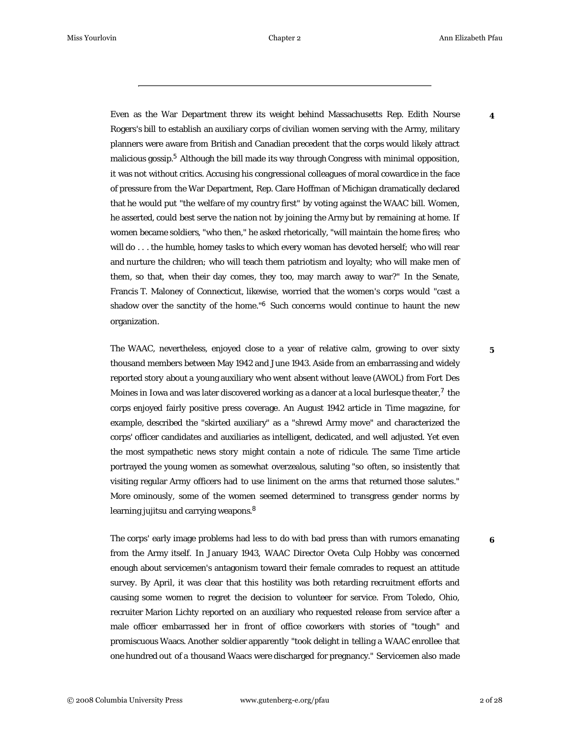**4**

Even as the War Department threw its weight behind Massachusetts Rep. Edith Nourse Rogers's bill to establish an auxiliary corps of civilian women serving with the Army, military planners were aware from British and Canadian precedent that the corps would likely attract malicious gossip.<sup>5</sup> Although the bill made its way through Congress with minimal opposition, it was not without critics. Accusing his congressional colleagues of moral cowardice in the face of pressure from the War Department, Rep. Clare Hoffman of Michigan dramatically declared that he would put "the welfare of my country first" by voting against the WAAC bill. Women, he asserted, could best serve the nation not by joining the Army but by remaining at home. If women became soldiers, "who then," he asked rhetorically, "will maintain the home fires; who will do . . . the humble, homey tasks to which every woman has devoted herself; who will rear and nurture the children; who will teach them patriotism and loyalty; who will make men of them, so that, when their day comes, they too, may march away to war?" In the Senate, Francis T. Maloney of Connecticut, likewise, worried that the women's corps would "cast a shadow over the sanctity of the home."<sup>6</sup> Such concerns would continue to haunt the new organization.

The WAAC, nevertheless, enjoyed close to a year of relative calm, growing to over sixty thousand members between May 1942 and June 1943. Aside from an embarrassing and widely reported story about a young auxiliary who went absent without leave (AWOL) from Fort Des Moines in Iowa and was later discovered working as a dancer at a local burlesque theater, $^7$  the corps enjoyed fairly positive press coverage. An August 1942 article in *Time* magazine, for example, described the "skirted auxiliary" as a "shrewd Army move" and characterized the corps' officer candidates and auxiliaries as intelligent, dedicated, and well adjusted. Yet even the most sympathetic news story might contain a note of ridicule. The same *Time* article portrayed the young women as somewhat overzealous, saluting "so often, so insistently that visiting regular Army officers had to use liniment on the arms that returned those salutes." More ominously, some of the women seemed determined to transgress gender norms by learning jujitsu and carrying weapons. <sup>8</sup>

The corps' early image problems had less to do with bad press than with rumors emanating from the Army itself. In January 1943, WAAC Director Oveta Culp Hobby was concerned enough about servicemen's antagonism toward their female comrades to request an attitude survey. By April, it was clear that this hostility was both retarding recruitment efforts and causing some women to regret the decision to volunteer for service. From Toledo, Ohio, recruiter Marion Lichty reported on an auxiliary who requested release from service after a male officer embarrassed her in front of office coworkers with stories of "tough" and promiscuous Waacs. Another soldier apparently "took delight in telling a WAAC enrollee that one hundred out of a thousand Waacs were discharged for pregnancy." Servicemen also made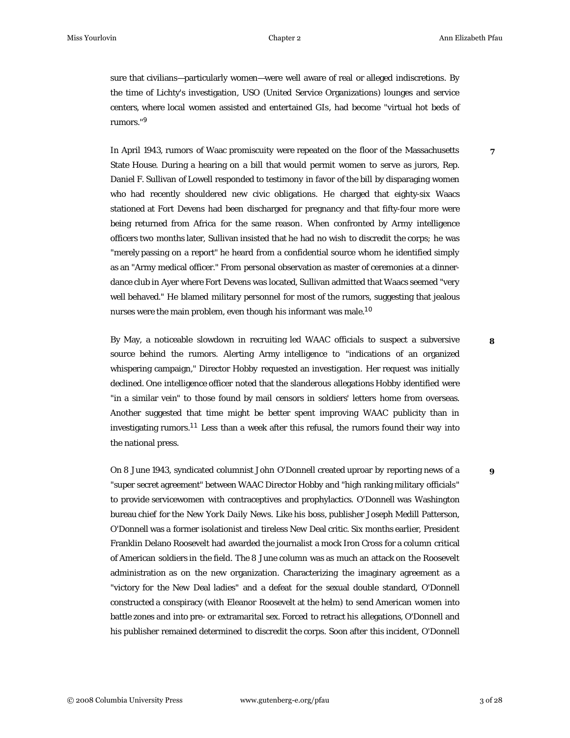**7**

**8**

**9**

sure that civilians—particularly women—were well aware of real or alleged indiscretions. By the time of Lichty's investigation, USO (United Service Organizations) lounges and service centers, where local women assisted and entertained GIs, had become "virtual hot beds of rumors." 9

In April 1943, rumors of Waac promiscuity were repeated on the floor of the Massachusetts State House. During a hearing on a bill that would permit women to serve as jurors, Rep. Daniel F. Sullivan of Lowell responded to testimony in favor of the bill by disparaging women who had recently shouldered new civic obligations. He charged that eighty-six Waacs stationed at Fort Devens had been discharged for pregnancy and that fifty-four more were being returned from Africa for the same reason. When confronted by Army intelligence officers two months later, Sullivan insisted that he had no wish to discredit the corps; he was "merely passing on a report" he heard from a confidential source whom he identified simply as an "Army medical officer." From personal observation as master of ceremonies at a dinnerdance club in Ayer where Fort Devens was located, Sullivan admitted that Waacs seemed "very well behaved." He blamed military personnel for most of the rumors, suggesting that jealous nurses were the main problem, even though his informant was male. $^{\rm 10}$ 

By May, a noticeable slowdown in recruiting led WAAC officials to suspect a subversive source behind the rumors. Alerting Army intelligence to "indications of an organized whispering campaign," Director Hobby requested an investigation. Her request was initially declined. One intelligence officer noted that the slanderous allegations Hobby identified were "in a similar vein" to those found by mail censors in soldiers' letters home from overseas. Another suggested that time might be better spent improving WAAC publicity than in investigating rumors. $^{11}$  Less than a week after this refusal, the rumors found their way into the national press.

On 8 June 1943, syndicated columnist John O'Donnell created uproar by reporting news of a "super secret agreement" between WAAC Director Hobby and "high ranking military officials" to provide servicewomen with contraceptives and prophylactics. O'Donnell was Washington bureau chief for the *New York Daily News*. Like his boss, publisher Joseph Medill Patterson, O'Donnell was a former isolationist and tireless New Deal critic. Six months earlier, President Franklin Delano Roosevelt had awarded the journalist a mock Iron Cross for a column critical of American soldiers in the field. The 8 June column was as much an attack on the Roosevelt administration as on the new organization. Characterizing the imaginary agreement as a "victory for the New Deal ladies" and a defeat for the sexual double standard, O'Donnell constructed a conspiracy (with Eleanor Roosevelt at the helm) to send American women into battle zones and into pre- or extramarital sex. Forced to retract his allegations, O'Donnell and his publisher remained determined to discredit the corps. Soon after this incident, O'Donnell

© 2008 Columbia University Press www.gutenberg-e.org/pfau 3 of 28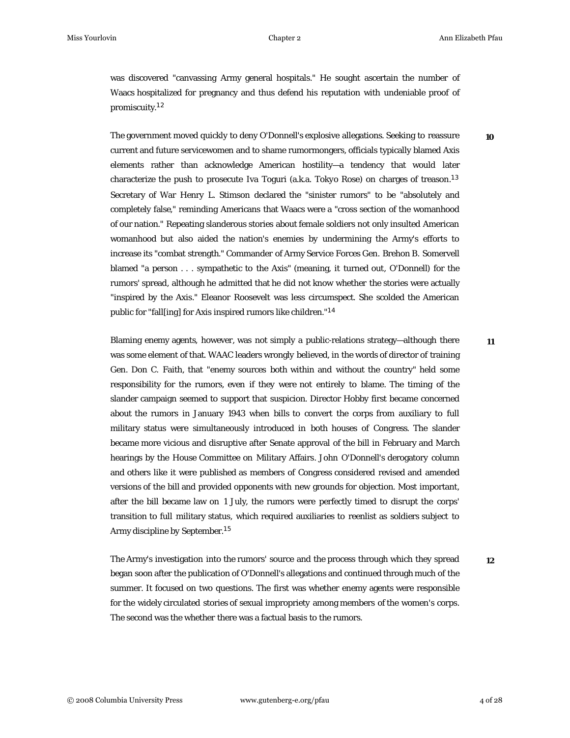**10**

was discovered "canvassing Army general hospitals." He sought ascertain the number of Waacs hospitalized for pregnancy and thus defend his reputation with undeniable proof of promiscuity. 12

The government moved quickly to deny O'Donnell's explosive allegations. Seeking to reassure current and future servicewomen and to shame rumormongers, officials typically blamed Axis elements rather than acknowledge American hostility—a tendency that would later characterize the push to prosecute Iva Toguri (a.k.a. *Tokyo Rose*) on charges of treason. 13 Secretary of War Henry L. Stimson declared the "sinister rumors" to be "absolutely and completely false," reminding Americans that Waacs were a "cross section of the womanhood of our nation." Repeating slanderous stories about female soldiers not only insulted American womanhood but also aided the nation's enemies by undermining the Army's efforts to increase its "combat strength." Commander of Army Service Forces Gen. Brehon B. Somervell blamed "a person . . . sympathetic to the Axis" (meaning, it turned out, O'Donnell) for the rumors' spread, although he admitted that he did not know whether the stories were actually "inspired by the Axis." Eleanor Roosevelt was less circumspect. She scolded the American public for "fall[ing] for Axis inspired rumors like children." 14

Blaming enemy agents, however, was not simply a public-relations strategy—although there was some element of that. WAAC leaders wrongly believed, in the words of director of training Gen. Don C. Faith, that "enemy sources both within and without the country" held some responsibility for the rumors, even if they were not entirely to blame. The timing of the slander campaign seemed to support that suspicion. Director Hobby first became concerned about the rumors in January 1943 when bills to convert the corps from auxiliary to full military status were simultaneously introduced in both houses of Congress. The slander became more vicious and disruptive after Senate approval of the bill in February and March hearings by the House Committee on Military Affairs. John O'Donnell's derogatory column and others like it were published as members of Congress considered revised and amended versions of the bill and provided opponents with new grounds for objection. Most important, after the bill became law on 1 July, the rumors were perfectly timed to disrupt the corps' transition to full military status, which required auxiliaries to reenlist as soldiers subject to Army discipline by September. 15

The Army's investigation into the rumors' source and the process through which they spread began soon after the publication of O'Donnell's allegations and continued through much of the summer. It focused on two questions. The first was whether enemy agents were responsible for the widely circulated stories of sexual impropriety among members of the women's corps. The second was the whether there was a factual basis to the rumors. **12**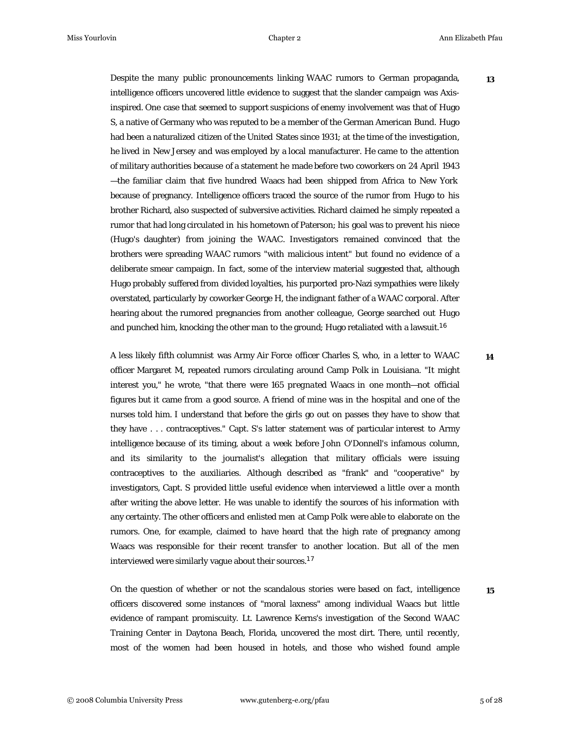**13**

**14**

Despite the many public pronouncements linking WAAC rumors to German propaganda, intelligence officers uncovered little evidence to suggest that the slander campaign was Axisinspired. One case that seemed to support suspicions of enemy involvement was that of Hugo S, a native of Germany who was reputed to be a member of the German American Bund. Hugo had been a naturalized citizen of the United States since 1931; at the time of the investigation, he lived in New Jersey and was employed by a local manufacturer. He came to the attention of military authorities because of a statement he made before two coworkers on 24 April 1943 —the familiar claim that five hundred Waacs had been shipped from Africa to New York because of pregnancy. Intelligence officers traced the source of the rumor from Hugo to his brother Richard, also suspected of subversive activities. Richard claimed he simply repeated a rumor that had long circulated in his hometown of Paterson; his goal was to prevent his niece (Hugo's daughter) from joining the WAAC. Investigators remained convinced that the brothers were spreading WAAC rumors "with malicious intent" but found no evidence of a deliberate smear campaign. In fact, some of the interview material suggested that, although Hugo probably suffered from divided loyalties, his purported pro-Nazi sympathies were likely overstated, particularly by coworker George H, the indignant father of a WAAC corporal. After hearing about the rumored pregnancies from another colleague, George searched out Hugo and punched him, knocking the other man to the ground; Hugo retaliated with a lawsuit.  $^{16}$ 

A less likely fifth columnist was Army Air Force officer Charles S, who, in a letter to WAAC officer Margaret M, repeated rumors circulating around Camp Polk in Louisiana. "It might interest you," he wrote, "that there were 165 *pregnated* Waacs in one month—not official figures but it came from a good source. A friend of mine was in the hospital and one of the nurses told him. I understand that before the girls go out on passes they have to show that they have . . . contraceptives." Capt. S's latter statement was of particular interest to Army intelligence because of its timing, about a week before John O'Donnell's infamous column, and its similarity to the journalist's allegation that military officials were issuing contraceptives to the auxiliaries. Although described as "frank" and "cooperative" by investigators, Capt. S provided little useful evidence when interviewed a little over a month after writing the above letter. He was unable to identify the sources of his information with any certainty. The other officers and enlisted men at Camp Polk were able to elaborate on the rumors. One, for example, claimed to have heard that the high rate of pregnancy among Waacs was responsible for their recent transfer to another location. But all of the men interviewed were similarly vague about their sources. 17

On the question of whether or not the scandalous stories were based on fact, intelligence officers discovered some instances of "moral laxness" among individual Waacs but little evidence of rampant promiscuity. Lt. Lawrence Kerns's investigation of the Second WAAC Training Center in Daytona Beach, Florida, uncovered the most dirt. There, until recently, most of the women had been housed in hotels, and those who wished found ample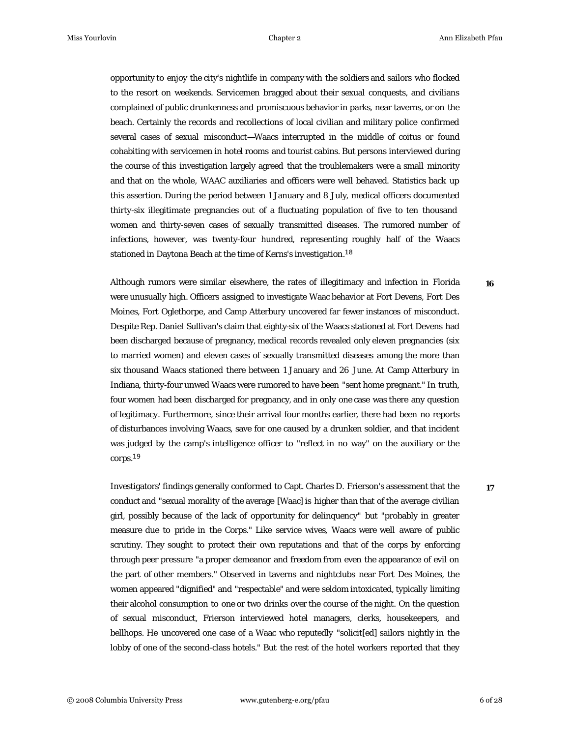opportunity to enjoy the city's nightlife in company with the soldiers and sailors who flocked to the resort on weekends. Servicemen bragged about their sexual conquests, and civilians complained of public drunkenness and promiscuous behavior in parks, near taverns, or on the beach. Certainly the records and recollections of local civilian and military police confirmed several cases of sexual misconduct—Waacs interrupted in the middle of coitus or found cohabiting with servicemen in hotel rooms and tourist cabins. But persons interviewed during the course of this investigation largely agreed that the troublemakers were a small minority and that on the whole, WAAC auxiliaries and officers were well behaved. Statistics back up this assertion. During the period between 1 January and 8 July, medical officers documented thirty-six illegitimate pregnancies out of a fluctuating population of five to ten thousand women and thirty-seven cases of sexually transmitted diseases. The rumored number of infections, however, was twenty-four hundred, representing roughly half of the Waacs stationed in Daytona Beach at the time of Kerns's investigation. <sup>18</sup>

Although rumors were similar elsewhere, the rates of illegitimacy and infection in Florida were unusually high. Officers assigned to investigate Waac behavior at Fort Devens, Fort Des Moines, Fort Oglethorpe, and Camp Atterbury uncovered far fewer instances of misconduct. Despite Rep. Daniel Sullivan's claim that eighty-six of the Waacs stationed at Fort Devens had been discharged because of pregnancy, medical records revealed only eleven pregnancies (six to married women) and eleven cases of sexually transmitted diseases among the more than six thousand Waacs stationed there between 1 January and 26 June. At Camp Atterbury in Indiana, thirty-four unwed Waacs were rumored to have been "sent home pregnant." In truth, four women had been discharged for pregnancy, and in only one case was there any question of legitimacy. Furthermore, since their arrival four months earlier, there had been no reports of disturbances involving Waacs, save for one caused by a drunken soldier, and that incident was judged by the camp's intelligence officer to "reflect in no way" on the auxiliary or the corps. 19

Investigators' findings generally conformed to Capt. Charles D. Frierson's assessment that the conduct and "sexual morality of the average [Waac] is higher than that of the average civilian girl, possibly because of the lack of opportunity for delinquency" but "probably in greater measure due to pride in the Corps." Like service wives, Waacs were well aware of public scrutiny. They sought to protect their own reputations and that of the corps by enforcing through peer pressure "a proper demeanor and freedom from even the appearance of evil on the part of other members." Observed in taverns and nightclubs near Fort Des Moines, the women appeared "dignified" and "respectable" and were seldom intoxicated, typically limiting their alcohol consumption to one or two drinks over the course of the night. On the question of sexual misconduct, Frierson interviewed hotel managers, clerks, housekeepers, and bellhops. He uncovered one case of a Waac who reputedly "solicit[ed] sailors nightly in the lobby of one of the second-class hotels." But the rest of the hotel workers reported that they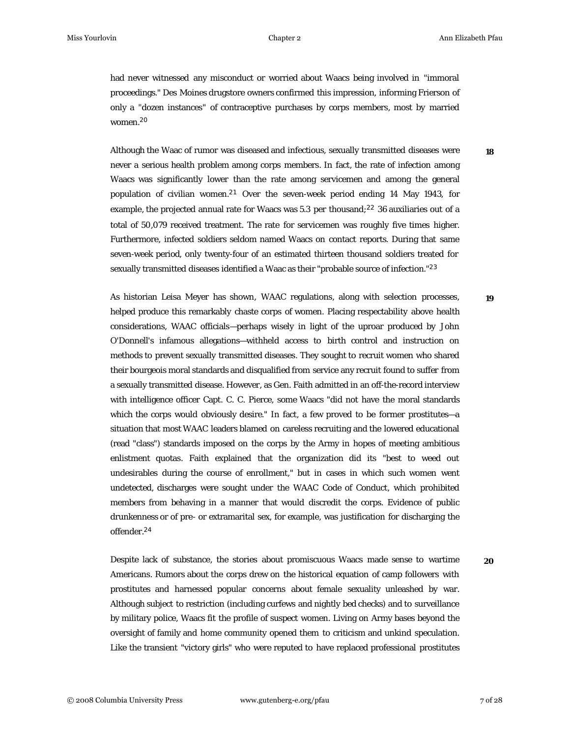**18**

**19**

had never witnessed any misconduct or worried about Waacs being involved in "immoral proceedings." Des Moines drugstore owners confirmed this impression, informing Frierson of only a "dozen instances" of contraceptive purchases by corps members, most by married women. 20

Although the Waac of rumor was diseased and infectious, sexually transmitted diseases were never a serious health problem among corps members. In fact, the rate of infection among Waacs was significantly lower than the rate among servicemen and among the general population of civilian women.<sup>21</sup> Over the seven-week period ending 14 May 1943, for example, the projected annual rate for Waacs was 5.3 per thousand;  $^{22}$  36 auxiliaries out of a total of 50,079 received treatment. The rate for servicemen was roughly five times higher. Furthermore, infected soldiers seldom named Waacs on contact reports. During that same seven-week period, only twenty-four of an estimated thirteen thousand soldiers treated for sexually transmitted diseases identified a Waac as their "probable source of infection." $^{23}$ 

As historian Leisa Meyer has shown, WAAC regulations, along with selection processes, helped produce this remarkably chaste corps of women. Placing respectability above health considerations, WAAC officials—perhaps wisely in light of the uproar produced by John O'Donnell's infamous allegations—withheld access to birth control and instruction on methods to prevent sexually transmitted diseases. They sought to recruit women who shared their bourgeois moral standards and disqualified from service any recruit found to suffer from a sexually transmitted disease. However, as Gen. Faith admitted in an off-the-record interview with intelligence officer Capt. C. C. Pierce, some Waacs "did not have the moral standards which the corps would obviously desire." In fact, a few proved to be former prostitutes—a situation that most WAAC leaders blamed on careless recruiting and the lowered educational (read "class") standards imposed on the corps by the Army in hopes of meeting ambitious enlistment quotas. Faith explained that the organization did its "best to weed out undesirables during the course of enrollment," but in cases in which such women went undetected, discharges were sought under the WAAC Code of Conduct, which prohibited members from behaving in a manner that would discredit the corps. Evidence of public drunkenness or of pre- or extramarital sex, for example, was justification for discharging the offender. 24

Despite lack of substance, the stories about promiscuous Waacs made sense to wartime Americans. Rumors about the corps drew on the historical equation of camp followers with prostitutes and harnessed popular concerns about female sexuality unleashed by war. Although subject to restriction (including curfews and nightly bed checks) and to surveillance by military police, Waacs fit the profile of suspect women. Living on Army bases beyond the oversight of family and home community opened them to criticism and unkind speculation. Like the transient "victory girls" who were reputed to have replaced professional prostitutes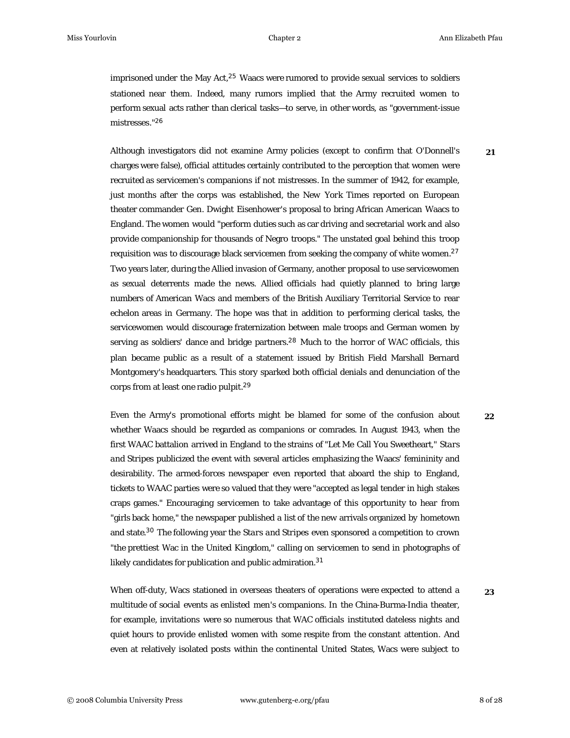**21**

imprisoned under the May Act, $^{25}$  Waacs were rumored to provide sexual services to soldiers stationed near them. Indeed, many rumors implied that the Army recruited women to perform sexual acts rather than clerical tasks—to serve, in other words, as "government-issue mistresses." 26

Although investigators did not examine Army policies (except to confirm that O'Donnell's charges were false), official attitudes certainly contributed to the perception that women were recruited as servicemen's companions if not mistresses. In the summer of 1942, for example, just months after the corps was established, the *New York Times* reported on European theater commander Gen. Dwight Eisenhower's proposal to bring African American Waacs to England. The women would "perform duties such as car driving and secretarial work and also provide companionship for thousands of Negro troops." The unstated goal behind this troop requisition was to discourage black servicemen from seeking the company of white women.<sup>27</sup> Two years later, during the Allied invasion of Germany, another proposal to use servicewomen as sexual deterrents made the news. Allied officials had quietly planned to bring large numbers of American Wacs and members of the British Auxiliary Territorial Service to rear echelon areas in Germany. The hope was that in addition to performing clerical tasks, the servicewomen would discourage fraternization between male troops and German women by serving as soldiers' dance and bridge partners.<sup>28</sup> Much to the horror of WAC officials, this plan became public as a result of a statement issued by British Field Marshall Bernard Montgomery's headquarters. This story sparked both official denials and denunciation of the corps from at least one radio pulpit. 29

Even the Army's promotional efforts might be blamed for some of the confusion about whether Waacs should be regarded as companions or comrades. In August 1943, when the first WAAC battalion arrived in England to the strains of "Let Me Call You Sweetheart," *Stars and Stripes* publicized the event with several articles emphasizing the Waacs' femininity and desirability. The armed-forces newspaper even reported that aboard the ship to England, tickets to WAAC parties were so valued that they were "accepted as legal tender in high stakes craps games." Encouraging servicemen to take advantage of this opportunity to hear from "girls back home," the newspaper published a list of the new arrivals organized by hometown and state.<sup>30</sup> The following year the *Stars and Stripes* even sponsored a competition to crown "the prettiest Wac in the United Kingdom," calling on servicemen to send in photographs of likely candidates for publication and public admiration.<sup>31</sup>

When off-duty, Wacs stationed in overseas theaters of operations were expected to attend a multitude of social events as enlisted men's companions. In the China-Burma-India theater, for example, invitations were so numerous that WAC officials instituted dateless nights and quiet hours to provide enlisted women with some respite from the constant attention. And even at relatively isolated posts within the continental United States, Wacs were subject to

**23**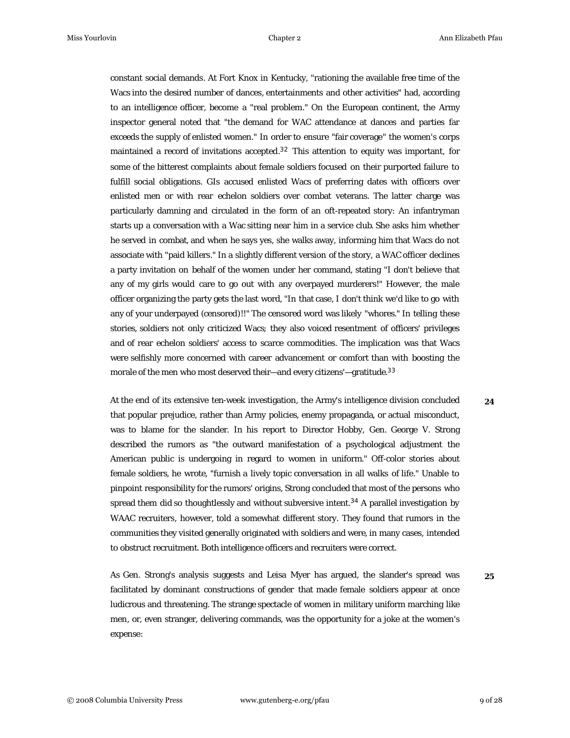constant social demands. At Fort Knox in Kentucky, "rationing the available free time of the Wacs into the desired number of dances, entertainments and other activities" had, according to an intelligence officer, become a "real problem." On the European continent, the Army inspector general noted that "the demand for WAC attendance at dances and parties far exceeds the supply of enlisted women." In order to ensure "fair coverage" the women's corps maintained a record of invitations accepted. $32$  This attention to equity was important, for some of the bitterest complaints about female soldiers focused on their purported failure to fulfill social obligations. GIs accused enlisted Wacs of preferring dates with officers over enlisted men or with rear echelon soldiers over combat veterans. The latter charge was particularly damning and circulated in the form of an oft-repeated story: An infantryman starts up a conversation with a Wac sitting near him in a service club. She asks him whether he served in combat, and when he says yes, she walks away, informing him that Wacs do not associate with "paid killers." In a slightly different version of the story, a WAC officer declines a party invitation on behalf of the women under her command, stating "I don't believe that any of my girls would care to go out with any overpayed murderers!" However, the male officer organizing the party gets the last word, "In that case, I don't think we'd like to go with any of your underpayed (censored)!!" The censored word was likely "whores." In telling these stories, soldiers not only criticized Wacs; they also voiced resentment of officers' privileges and of rear echelon soldiers' access to scarce commodities. The implication was that Wacs were selfishly more concerned with career advancement or comfort than with boosting the morale of the men who most deserved their—and every citizens'—gratitude.<sup>33</sup>

At the end of its extensive ten-week investigation, the Army's intelligence division concluded that popular prejudice, rather than Army policies, enemy propaganda, or actual misconduct, was to blame for the slander. In his report to Director Hobby, Gen. George V. Strong described the rumors as "the outward manifestation of a psychological adjustment the American public is undergoing in regard to women in uniform." Off-color stories about female soldiers, he wrote, "furnish a lively topic conversation in all walks of life." Unable to pinpoint responsibility for the rumors' origins, Strong concluded that most of the persons who spread them did so thoughtlessly and without subversive intent.<sup>34</sup> A parallel investigation by WAAC recruiters, however, told a somewhat different story. They found that rumors in the communities they visited generally originated with soldiers and were, in many cases, intended to obstruct recruitment. Both intelligence officers and recruiters were correct.

As Gen. Strong's analysis suggests and Leisa Myer has argued, the slander's spread was facilitated by dominant constructions of gender that made female soldiers appear at once ludicrous and threatening. The strange spectacle of women in military uniform marching like men, or, even stranger, delivering commands, was the opportunity for a joke at the women's expense:

**25**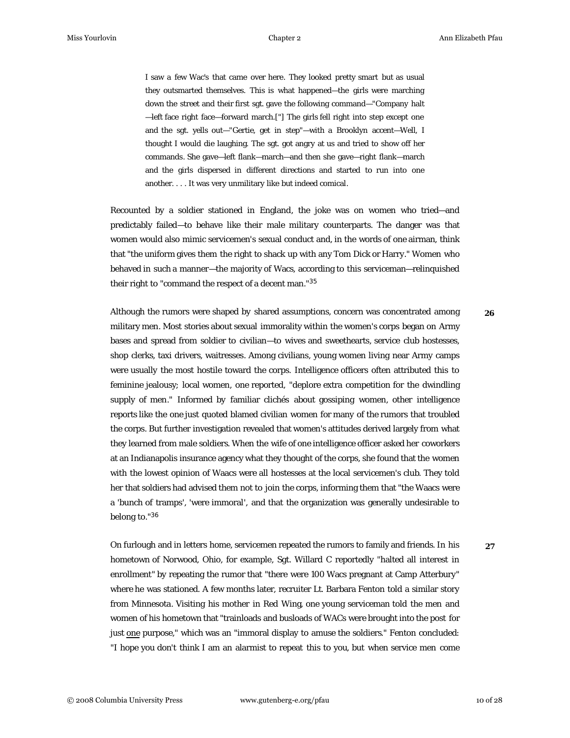I saw a few Wac's that came over here. They looked pretty smart but as usual they outsmarted themselves. This is what happened—the girls were marching down the street and their first sgt. gave the following command—"Company halt —left face right face—forward march.["] The girls fell right into step except one and the sgt. yells out—"Gertie, get in step"—with a Brooklyn accent—Well, I thought I would die laughing. The sgt. got angry at us and tried to show off her commands. She gave—left flank—march—and then she gave—right flank—march and the girls dispersed in different directions and started to run into one another. . . . It was very unmilitary like but indeed comical.

Recounted by a soldier stationed in England, the joke was on women who tried—and predictably failed—to behave like their male military counterparts. The danger was that women would also mimic servicemen's sexual conduct and, in the words of one airman, think that "the uniform gives them the right to shack up with any Tom Dick or Harry." Women who behaved in such a manner—the majority of Wacs, according to this serviceman—relinquished their right to "command the respect of a decent man."<sup>35</sup>

Although the rumors were shaped by shared assumptions, concern was concentrated among military men. Most stories about sexual immorality within the women's corps began on Army bases and spread from soldier to civilian—to wives and sweethearts, service club hostesses, shop clerks, taxi drivers, waitresses. Among civilians, young women living near Army camps were usually the most hostile toward the corps. Intelligence officers often attributed this to feminine jealousy; local women, one reported, "deplore extra competition for the dwindling supply of men." Informed by familiar clichés about gossiping women, other intelligence reports like the one just quoted blamed civilian women for many of the rumors that troubled the corps. But further investigation revealed that women's attitudes derived largely from what they learned from male soldiers. When the wife of one intelligence officer asked her coworkers at an Indianapolis insurance agency what they thought of the corps, she found that the women with the lowest opinion of Waacs were all hostesses at the local servicemen's club. They told her that soldiers had advised them not to join the corps, informing them that "the Waacs were a 'bunch of tramps', 'were immoral', and that the organization was generally undesirable to belong to." 36 **26**

On furlough and in letters home, servicemen repeated the rumors to family and friends. In his hometown of Norwood, Ohio, for example, Sgt. Willard C reportedly "halted all interest in enrollment" by repeating the rumor that "there were 100 Wacs pregnant at Camp Atterbury" where he was stationed. A few months later, recruiter Lt. Barbara Fenton told a similar story from Minnesota. Visiting his mother in Red Wing, one young serviceman told the men and women of his hometown that "trainloads and busloads of WACs were brought into the post for just one purpose," which was an "immoral display to amuse the soldiers." Fenton concluded: "I hope you don't think I am an alarmist to repeat this to you, but when service men come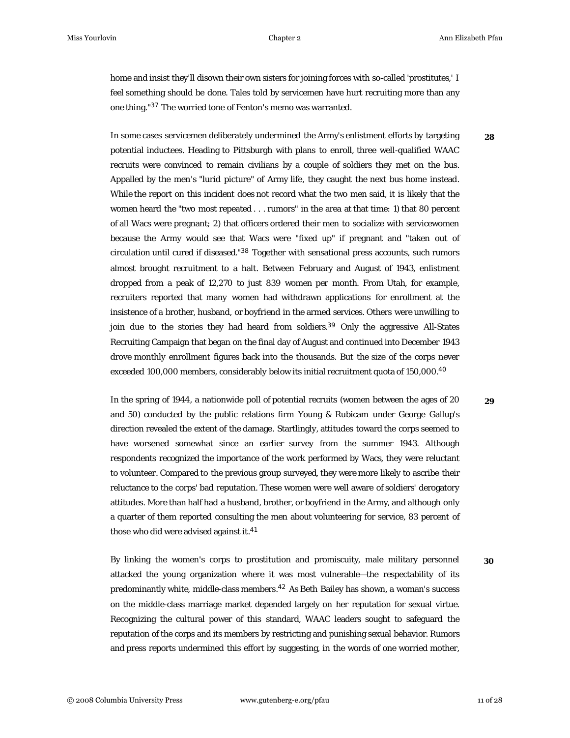**28**

home and insist they'll disown their own sisters for joining forces with so-called 'prostitutes,' I feel something should be done. Tales told by servicemen have hurt recruiting more than any one thing."<sup>37</sup> The worried tone of Fenton's memo was warranted.

In some cases servicemen deliberately undermined the Army's enlistment efforts by targeting potential inductees. Heading to Pittsburgh with plans to enroll, three well-qualified WAAC recruits were convinced to remain civilians by a couple of soldiers they met on the bus. Appalled by the men's "lurid picture" of Army life, they caught the next bus home instead. While the report on this incident does not record what the two men said, it is likely that the women heard the "two most repeated . . . rumors" in the area at that time: 1) that 80 percent of all Wacs were pregnant; 2) that officers ordered their men to socialize with servicewomen because the Army would see that Wacs were "fixed up" if pregnant and "taken out of circulation until cured if diseased."<sup>38</sup> Together with sensational press accounts, such rumors almost brought recruitment to a halt. Between February and August of 1943, enlistment dropped from a peak of 12,270 to just 839 women per month. From Utah, for example, recruiters reported that many women had withdrawn applications for enrollment at the insistence of a brother, husband, or boyfriend in the armed services. Others were unwilling to join due to the stories they had heard from soldiers.<sup>39</sup> Only the aggressive All-States Recruiting Campaign that began on the final day of August and continued into December 1943 drove monthly enrollment figures back into the thousands. But the size of the corps never exceeded 100,000 members, considerably below its initial recruitment quota of 150,000.<sup>40</sup>

In the spring of 1944, a nationwide poll of potential recruits (women between the ages of 20 and 50) conducted by the public relations firm Young & Rubicam under George Gallup's direction revealed the extent of the damage. Startlingly, attitudes toward the corps seemed to have worsened somewhat since an earlier survey from the summer 1943. Although respondents recognized the importance of the work performed by Wacs, they were reluctant to volunteer. Compared to the previous group surveyed, they were more likely to ascribe their reluctance to the corps' bad reputation. These women were well aware of soldiers' derogatory attitudes. More than half had a husband, brother, or boyfriend in the Army, and although only a quarter of them reported consulting the men about volunteering for service, 83 percent of those who did were advised against it.<sup>41</sup>

By linking the women's corps to prostitution and promiscuity, male military personnel attacked the young organization where it was most vulnerable—the respectability of its predominantly white, middle-class members.<sup>42</sup> As Beth Bailey has shown, a woman's success on the middle-class marriage market depended largely on her reputation for sexual virtue. Recognizing the cultural power of this standard, WAAC leaders sought to safeguard the reputation of the corps and its members by restricting and punishing sexual behavior. Rumors and press reports undermined this effort by suggesting, in the words of one worried mother, **30**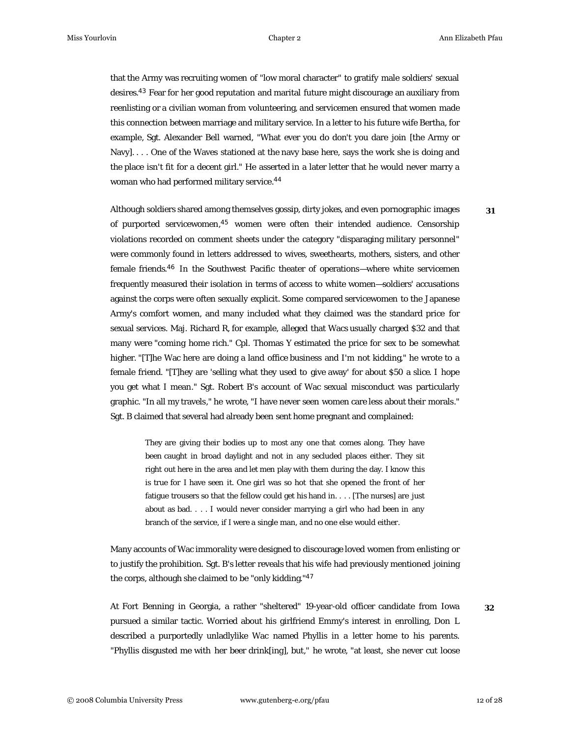**31**

that the Army was recruiting women of "low moral character" to gratify male soldiers' sexual desires. $^{43}$  Fear for her good reputation and marital future might discourage an auxiliary from reenlisting or a civilian woman from volunteering, and servicemen ensured that women made this connection between marriage and military service. In a letter to his future wife Bertha, for example, Sgt. Alexander Bell warned, "What ever you do don't you dare join [the Army or Navy]. . . . One of the Waves stationed at the navy base here, says the work she is doing and the place isn't fit for a decent girl." He asserted in a later letter that he would never marry a woman who had performed military service. 44

Although soldiers shared among themselves gossip, dirty jokes, and even pornographic images of purported servicewomen, $45$  women were often their intended audience. Censorship violations recorded on comment sheets under the category "disparaging military personnel" were commonly found in letters addressed to wives, sweethearts, mothers, sisters, and other female friends.<sup>46</sup> In the Southwest Pacific theater of operations—where white servicemen frequently measured their isolation in terms of access to white women—soldiers' accusations against the corps were often sexually explicit. Some compared servicewomen to the Japanese Army's comfort women, and many included what they claimed was the standard price for sexual services. Maj. Richard R, for example, alleged that Wacs usually charged \$32 and that many were "coming home rich." Cpl. Thomas Y estimated the price for sex to be somewhat higher. "[T]he Wac here are doing a land office business and I'm not kidding," he wrote to a female friend. "[T]hey are 'selling what they used to give away' for about \$50 a slice. I hope you get what I mean." Sgt. Robert B's account of Wac sexual misconduct was particularly graphic. "In all my travels," he wrote, "I have never seen women care less about their morals." Sgt. B claimed that several had already been sent home pregnant and complained:

They are giving their bodies up to most any one that comes along. They have been caught in broad daylight and not in any secluded places either. They sit right out here in the area and let men play with them during the day. I know this is true for I have seen it. One girl was so hot that she opened the front of her fatigue trousers so that the fellow could get his hand in. . . . [The nurses] are just about as bad. . . . I would never consider marrying a girl who had been in any branch of the service, if I were a single man, and no one else would either.

Many accounts of Wac immorality were designed to discourage loved women from enlisting or to justify the prohibition. Sgt. B's letter reveals that his wife had previously mentioned joining the corps, although she claimed to be "only kidding."<sup>47</sup>

At Fort Benning in Georgia, a rather "sheltered" 19-year-old officer candidate from Iowa pursued a similar tactic. Worried about his girlfriend Emmy's interest in enrolling, Don L described a purportedly unladlylike Wac named Phyllis in a letter home to his parents. "Phyllis disgusted me with her beer drink[ing], but," he wrote, "at least, she never cut loose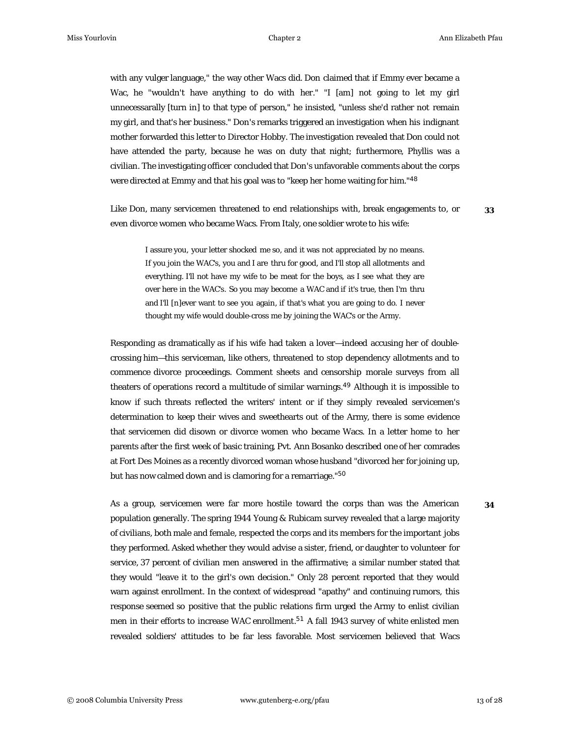with any vulger language," the way other Wacs did. Don claimed that if Emmy ever became a Wac, he "wouldn't have anything to do with her." "I [am] not going to let my girl unnecessarally [turn in] to that type of person," he insisted, "unless she'd rather not remain my girl, and that's her business." Don's remarks triggered an investigation when his indignant mother forwarded this letter to Director Hobby. The investigation revealed that Don could not have attended the party, because he was on duty that night; furthermore, Phyllis was a civilian. The investigating officer concluded that Don's unfavorable comments about the corps were directed at Emmy and that his goal was to "keep her home waiting for him."<sup>48</sup>

Like Don, many servicemen threatened to end relationships with, break engagements to, or even divorce women who became Wacs. From Italy, one soldier wrote to his wife:

**33**

I assure you, your letter shocked me so, and it was not appreciated by no means. If you join the WAC's, you and I are thru for good, and I'll stop all allotments and everything. I'll not have my wife to be meat for the boys, as I see what they are over here in the WAC's. So you may become a WAC and if it's true, then I'm thru and I'll [n]ever want to see you again, if that's what you are going to do. I never thought my wife would double-cross me by joining the WAC's or the Army.

Responding as dramatically as if his wife had taken a lover—indeed accusing her of doublecrossing him—this serviceman, like others, threatened to stop dependency allotments and to commence divorce proceedings. Comment sheets and censorship morale surveys from all theaters of operations record a multitude of similar warnings.<sup>49</sup> Although it is impossible to know if such threats reflected the writers' intent or if they simply revealed servicemen's determination to keep their wives and sweethearts out of the Army, there is some evidence that servicemen did disown or divorce women who became Wacs. In a letter home to her parents after the first week of basic training, Pvt. Ann Bosanko described one of her comrades at Fort Des Moines as a recently divorced woman whose husband "divorced her for joining up, but has now calmed down and is clamoring for a remarriage." 50

As a group, servicemen were far more hostile toward the corps than was the American population generally. The spring 1944 Young & Rubicam survey revealed that a large majority of civilians, both male and female, respected the corps and its members for the important jobs they performed. Asked whether they would advise a sister, friend, or daughter to volunteer for service, 37 percent of civilian men answered in the affirmative; a similar number stated that they would "leave it to the girl's own decision." Only 28 percent reported that they would warn against enrollment. In the context of widespread "apathy" and continuing rumors, this response seemed so positive that the public relations firm urged the Army to enlist civilian men in their efforts to increase WAC enrollment. $^{51}$  A fall 1943 survey of white enlisted men revealed soldiers' attitudes to be far less favorable. Most servicemen believed that Wacs

© 2008 Columbia University Press www.gutenberg-e.org/pfau 13 of 28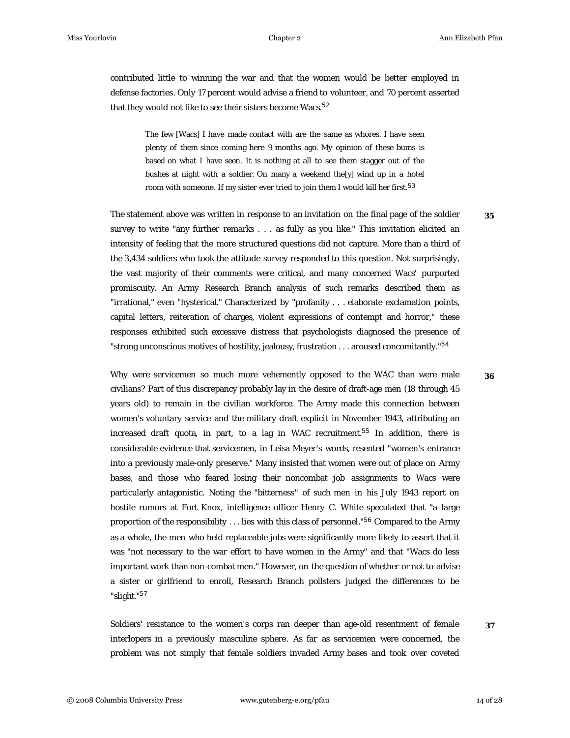contributed little to winning the war and that the women would be better employed in defense factories. Only 17 percent would advise a friend to volunteer, and 70 percent asserted that they would not like to see their sisters become Wacs.<sup>52</sup>

The few [Wacs] I have made contact with are the same as whores. I have seen plenty of them since coming here 9 months ago. My opinion of these bums is based on what I have seen. It is nothing at all to see them stagger out of the bushes at night with a soldier. On many a weekend the[y] wind up in a hotel room with someone. If my sister ever tried to join them I would kill her first. $^{53}$ 

The statement above was written in response to an invitation on the final page of the soldier survey to write "any further remarks . . . as fully as you like." This invitation elicited an intensity of feeling that the more structured questions did not capture. More than a third of the 3,434 soldiers who took the attitude survey responded to this question. Not surprisingly, the vast majority of their comments were critical, and many concerned Wacs' purported promiscuity. An Army Research Branch analysis of such remarks described them as "irrational," even "hysterical." Characterized by "profanity . . . elaborate exclamation points, capital letters, reiteration of charges, violent expressions of contempt and horror," these responses exhibited such excessive distress that psychologists diagnosed the presence of "strong unconscious motives of hostility, jealousy, frustration . . . aroused concomitantly." 54

Why were servicemen so much more vehemently opposed to the WAC than were male civilians? Part of this discrepancy probably lay in the desire of draft-age men (18 through 45 years old) to remain in the civilian workforce. The Army made this connection between women's voluntary service and the military draft explicit in November 1943, attributing an increased draft quota, in part, to a lag in WAC recruitment.<sup>55</sup> In addition, there is considerable evidence that servicemen, in Leisa Meyer's words, resented "women's entrance into a previously male-only preserve." Many insisted that women were out of place on Army bases, and those who feared losing their noncombat job assignments to Wacs were particularly antagonistic. Noting the "bitterness" of such men in his July 1943 report on hostile rumors at Fort Knox, intelligence officer Henry C. White speculated that "a large proportion of the responsibility . . . lies with this class of personnel." $56$  Compared to the Army as a whole, the men who held replaceable jobs were significantly more likely to assert that it was "not necessary to the war effort to have women in the Army" and that "Wacs do less important work than non-combat men." However, on the question of whether or not to advise a sister or girlfriend to enroll, Research Branch pollsters judged the differences to be "slight." 57

Soldiers' resistance to the women's corps ran deeper than age-old resentment of female interlopers in a previously masculine sphere. As far as servicemen were concerned, the problem was not simply that female soldiers invaded Army bases and took over coveted **36**

**35**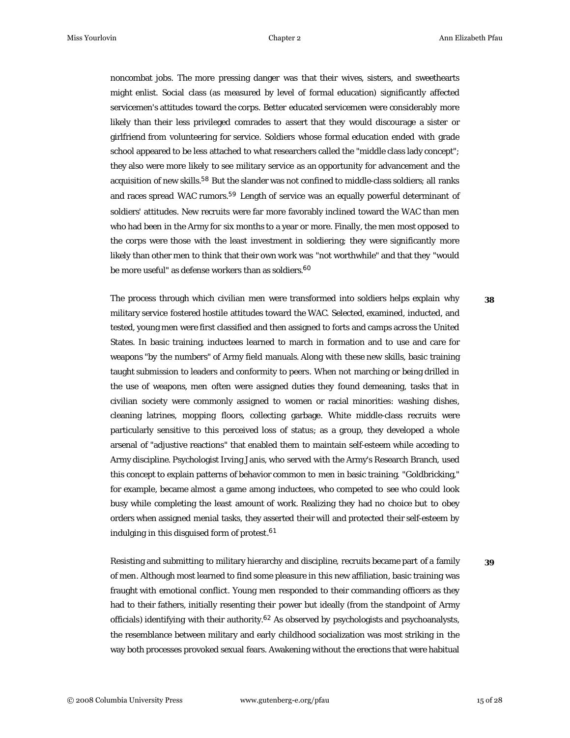noncombat jobs. The more pressing danger was that their wives, sisters, and sweethearts might enlist. Social class (as measured by level of formal education) significantly affected servicemen's attitudes toward the corps. Better educated servicemen were considerably more likely than their less privileged comrades to assert that they would discourage a sister or girlfriend from volunteering for service. Soldiers whose formal education ended with grade school appeared to be less attached to what researchers called the "middle class lady concept"; they also were more likely to see military service as an opportunity for advancement and the acquisition of new skills.<sup>58</sup> But the slander was not confined to middle-class soldiers; all ranks and races spread WAC rumors.<sup>59</sup> Length of service was an equally powerful determinant of soldiers' attitudes. New recruits were far more favorably inclined toward the WAC than men who had been in the Army for six months to a year or more. Finally, the men most opposed to the corps were those with the least investment in soldiering; they were significantly more likely than other men to think that their own work was "not worthwhile" and that they "would be more useful" as defense workers than as soldiers. 60

The process through which civilian men were transformed into soldiers helps explain why military service fostered hostile attitudes toward the WAC. Selected, examined, inducted, and tested, young men were first classified and then assigned to forts and camps across the United States. In basic training, inductees learned to march in formation and to use and care for weapons "by the numbers" of Army field manuals. Along with these new skills, basic training taught submission to leaders and conformity to peers. When not marching or being drilled in the use of weapons, men often were assigned duties they found demeaning, tasks that in civilian society were commonly assigned to women or racial minorities: washing dishes, cleaning latrines, mopping floors, collecting garbage. White middle-class recruits were particularly sensitive to this perceived loss of status; as a group, they developed a whole arsenal of "adjustive reactions" that enabled them to maintain self-esteem while acceding to Army discipline. Psychologist Irving Janis, who served with the Army's Research Branch, used this concept to explain patterns of behavior common to men in basic training. "Goldbricking," for example, became almost a game among inductees, who competed to see who could look busy while completing the least amount of work. Realizing they had no choice but to obey orders when assigned menial tasks, they asserted their will and protected their self-esteem by indulging in this disguised form of protest. 61

**39**

**38**

Resisting and submitting to military hierarchy and discipline, recruits became part of a family of men. Although most learned to find some pleasure in this new affiliation, basic training was fraught with emotional conflict. Young men responded to their commanding officers as they had to their fathers, initially resenting their power but ideally (from the standpoint of Army officials) identifying with their authority.<sup>62</sup> As observed by psychologists and psychoanalysts, the resemblance between military and early childhood socialization was most striking in the way both processes provoked sexual fears. Awakening without the erections that were habitual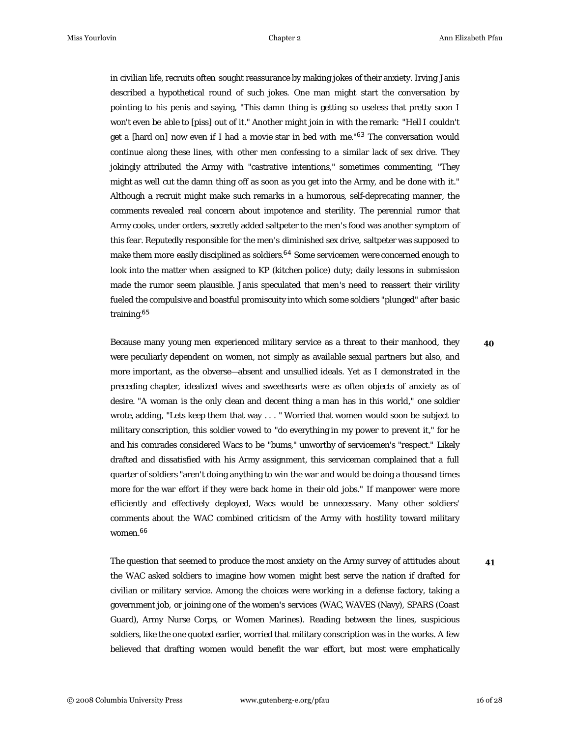in civilian life, recruits often sought reassurance by making jokes of their anxiety. Irving Janis described a hypothetical round of such jokes. One man might start the conversation by pointing to his penis and saying, "This damn thing is getting so useless that pretty soon I won't even be able to [piss] out of it." Another might join in with the remark: "Hell I couldn't get a [hard on] now even if I had a movie star in bed with me."<sup>63</sup> The conversation would continue along these lines, with other men confessing to a similar lack of sex drive. They jokingly attributed the Army with "castrative intentions," sometimes commenting, "They might as well cut the damn thing off as soon as you get into the Army, and be done with it." Although a recruit might make such remarks in a humorous, self-deprecating manner, the comments revealed real concern about impotence and sterility. The perennial rumor that Army cooks, under orders, secretly added saltpeter to the men's food was another symptom of this fear. Reputedly responsible for the men's diminished sex drive, saltpeter was supposed to make them more easily disciplined as soldiers. $^{64}$  Some servicemen were concerned enough to look into the matter when assigned to KP (kitchen police) duty; daily lessons in submission made the rumor seem plausible. Janis speculated that men's need to reassert their virility fueled the compulsive and boastful promiscuity into which some soldiers "plunged" after basic training.<sup>65</sup>

Because many young men experienced military service as a threat to their manhood, they were peculiarly dependent on women, not simply as available sexual partners but also, and more important, as the obverse—absent and unsullied ideals. Yet as I demonstrated in the preceding chapter, idealized wives and sweethearts were as often objects of anxiety as of desire. "A woman is the only clean and decent thing a man has in this world," one soldier wrote, adding, "Lets keep them that way . . . " Worried that women would soon be subject to military conscription, this soldier vowed to "do everything in my power to prevent it," for he and his comrades considered Wacs to be "bums," unworthy of servicemen's "respect." Likely drafted and dissatisfied with his Army assignment, this serviceman complained that a full quarter of soldiers "aren't doing anything to win the war and would be doing a thousand times more for the war effort if they were back home in their old jobs." If manpower were more efficiently and effectively deployed, Wacs would be unnecessary. Many other soldiers' comments about the WAC combined criticism of the Army with hostility toward military women. 66

The question that seemed to produce the most anxiety on the Army survey of attitudes about the WAC asked soldiers to imagine how women might best serve the nation if drafted for civilian or military service. Among the choices were working in a defense factory, taking a government job, or joining one of the women's services (WAC, WAVES (Navy), SPARS (Coast Guard), Army Nurse Corps, or Women Marines). Reading between the lines, suspicious soldiers, like the one quoted earlier, worried that military conscription was in the works. A few believed that drafting women would benefit the war effort, but most were emphatically **41**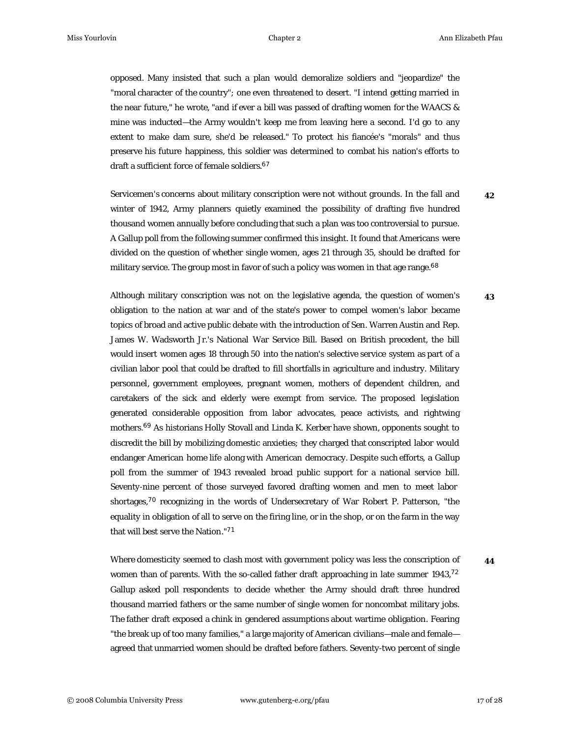**43**

opposed. Many insisted that such a plan would demoralize soldiers and "jeopardize" the "moral character of the country"; one even threatened to desert. "I intend getting married in the near future," he wrote, "and if ever a bill was passed of drafting women for the WAACS & mine was inducted—the Army wouldn't keep me from leaving here a second. I'd go to any extent to make dam sure, she'd be released." To protect his fiancée's "morals" and thus preserve his future happiness, this soldier was determined to combat his nation's efforts to draft a sufficient force of female soldiers. 67

Servicemen's concerns about military conscription were not without grounds. In the fall and winter of 1942, Army planners quietly examined the possibility of drafting five hundred thousand women annually before concluding that such a plan was too controversial to pursue. A Gallup poll from the following summer confirmed this insight. It found that Americans were divided on the question of whether single women, ages 21 through 35, should be drafted for military service. The group most in favor of such a policy was women in that age range.<sup>68</sup> **42**

Although military conscription was not on the legislative agenda, the question of women's obligation to the nation at war and of the state's power to compel women's labor became topics of broad and active public debate with the introduction of Sen. Warren Austin and Rep. James W. Wadsworth Jr.'s National War Service Bill. Based on British precedent, the bill would insert women ages 18 through 50 into the nation's selective service system as part of a civilian labor pool that could be drafted to fill shortfalls in agriculture and industry. Military personnel, government employees, pregnant women, mothers of dependent children, and caretakers of the sick and elderly were exempt from service. The proposed legislation generated considerable opposition from labor advocates, peace activists, and rightwing mothers.<sup>69</sup> As historians Holly Stovall and Linda K. Kerber have shown, opponents sought to discredit the bill by mobilizing domestic anxieties; they charged that conscripted labor would endanger American home life along with American democracy. Despite such efforts, a Gallup poll from the summer of 1943 revealed broad public support for a national service bill. Seventy-nine percent of those surveyed favored drafting women and men to meet labor shortages,<sup>70</sup> recognizing in the words of Undersecretary of War Robert P. Patterson, "the equality in obligation of all to serve on the firing line, or in the shop, or on the farm in the way that will best serve the Nation." 71

Where domesticity seemed to clash most with government policy was less the conscription of women than of parents. With the so-called father draft approaching in late summer  $1943$ ,<sup>72</sup> Gallup asked poll respondents to decide whether the Army should draft three hundred thousand married fathers or the same number of single women for noncombat military jobs. The father draft exposed a chink in gendered assumptions about wartime obligation. Fearing "the break up of too many families," a large majority of American civilians—male and female agreed that unmarried women should be drafted before fathers. Seventy-two percent of single **44**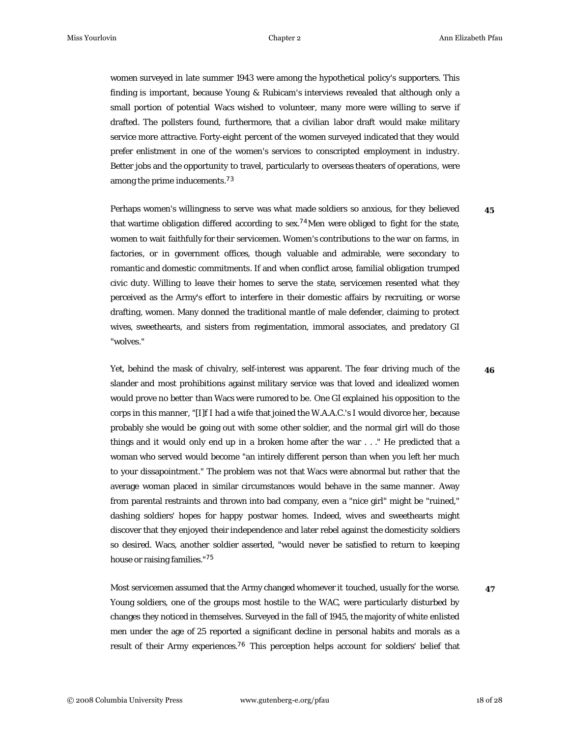women surveyed in late summer 1943 were among the hypothetical policy's supporters. This finding is important, because Young & Rubicam's interviews revealed that although only a small portion of potential Wacs wished to volunteer, many more were willing to serve if drafted. The pollsters found, furthermore, that a civilian labor draft would make military service more attractive. Forty-eight percent of the women surveyed indicated that they would prefer enlistment in one of the women's services to conscripted employment in industry. Better jobs and the opportunity to travel, particularly to overseas theaters of operations, were among the prime inducements.<sup>73</sup>

Perhaps women's willingness to serve was what made soldiers so anxious, for they believed that wartime obligation differed according to sex.<sup>74</sup>Men were obliged to fight for the state, women to wait faithfully for their servicemen. Women's contributions to the war on farms, in factories, or in government offices, though valuable and admirable, were secondary to romantic and domestic commitments. If and when conflict arose, familial obligation trumped civic duty. Willing to leave their homes to serve the state, servicemen resented what they perceived as the Army's effort to interfere in their domestic affairs by recruiting, or worse drafting, women. Many donned the traditional mantle of male defender, claiming to protect wives, sweethearts, and sisters from regimentation, immoral associates, and predatory GI "wolves."

Yet, behind the mask of chivalry, self-interest was apparent. The fear driving much of the slander and most prohibitions against military service was that loved and idealized women would prove no better than Wacs were rumored to be. One GI explained his opposition to the corps in this manner, "[I]f I had a wife that joined the W.A.A.C.'s I would divorce her, because probably she would be going out with some other soldier, and the normal girl will do those things and it would only end up in a broken home after the war . . ." He predicted that a woman who served would become "an intirely different person than when you left her much to your dissapointment." The problem was not that Wacs were abnormal but rather that the average woman placed in similar circumstances would behave in the same manner. Away from parental restraints and thrown into bad company, even a "nice girl" might be "ruined," dashing soldiers' hopes for happy postwar homes. Indeed, wives and sweethearts might discover that they enjoyed their independence and later rebel against the domesticity soldiers so desired. Wacs, another soldier asserted, "would never be satisfied to return to keeping house or raising families."<sup>75</sup>

Most servicemen assumed that the Army changed whomever it touched, usually for the worse. Young soldiers, one of the groups most hostile to the WAC, were particularly disturbed by changes they noticed in themselves. Surveyed in the fall of 1945, the majority of white enlisted men under the age of 25 reported a significant decline in personal habits and morals as a result of their Army experiences.<sup>76</sup> This perception helps account for soldiers' belief that

**46**

**45**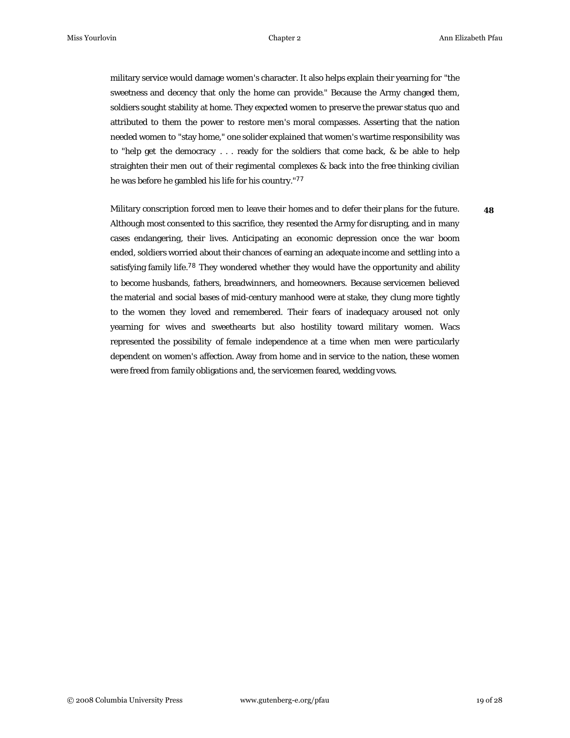**48**

military service would damage women's character. It also helps explain their yearning for "the sweetness and decency that only the home can provide." Because the Army changed them, soldiers sought stability at home. They expected women to preserve the prewar status quo and attributed to them the power to restore men's moral compasses. Asserting that the nation needed women to "stay home," one solider explained that women's wartime responsibility was to "help get the democracy . . . ready for the soldiers that come back, & be able to help straighten their men out of their regimental complexes & back into the free thinking civilian he was before he gambled his life for his country."<sup>77</sup>

Military conscription forced men to leave their homes and to defer their plans for the future. Although most consented to this sacrifice, they resented the Army for disrupting, and in many cases endangering, their lives. Anticipating an economic depression once the war boom ended, soldiers worried about their chances of earning an adequate income and settling into a satisfying family life.<sup>78</sup> They wondered whether they would have the opportunity and ability to become husbands, fathers, breadwinners, and homeowners. Because servicemen believed the material and social bases of mid-century manhood were at stake, they clung more tightly to the women they loved and remembered. Their fears of inadequacy aroused not only yearning for wives and sweethearts but also hostility toward military women. Wacs represented the possibility of female independence at a time when men were particularly dependent on women's affection. Away from home and in service to the nation, these women were freed from family obligations and, the servicemen feared, wedding vows.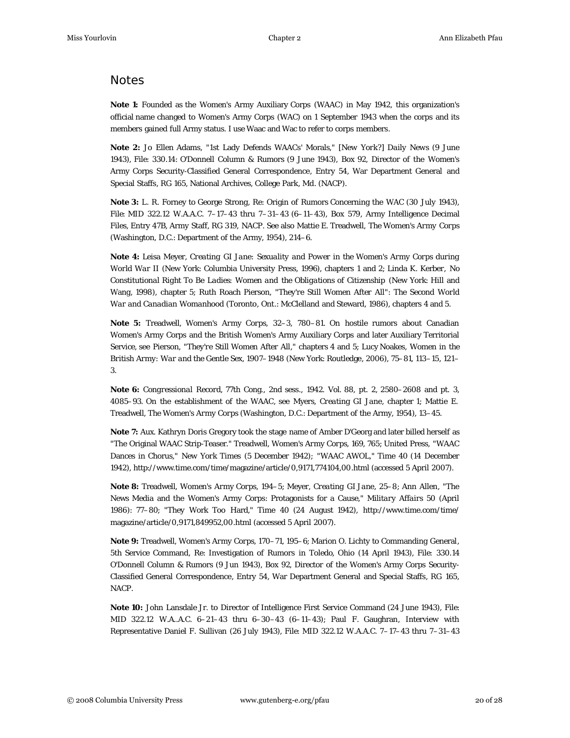## **Notes**

**Note 1:** Founded as the Women's Army Auxiliary Corps (WAAC) in May 1942, this organization's official name changed to Women's Army Corps (WAC) on 1 September 1943 when the corps and its members gained full Army status. I use Waac and Wac to refer to corps members.

**Note 2:** Jo Ellen Adams, "1st Lady Defends WAACs' Morals," [*New York*?] *Daily News* (9 June 1943), File: 330.14: O'Donnell Column & Rumors (9 June 1943), Box 92, Director of the Women's Army Corps Security-Classified General Correspondence, Entry 54, War Department General and Special Staffs, RG 165, National Archives, College Park, Md. (NACP).

**Note 3:** L. R. Forney to George Strong, Re: Origin of Rumors Concerning the WAC (30 July 1943), File: MID 322.12 W.A.A.C. 7–17–43 thru 7–31–43 (6–11–43), Box 579, Army Intelligence Decimal Files, Entry 47B, Army Staff, RG 319, NACP. See also Mattie E. Treadwell, *The Women's Army Corps* (Washington, D.C.: Department of the Army, 1954), 214–6.

**Note 4:** Leisa Meyer, *Creating GI Jane: Sexuality and Power in the Women's Army Corps during World War II* (New York: Columbia University Press, 1996), chapters 1 and 2; Linda K. Kerber, *No Constitutional Right To Be Ladies: Women and the Obligations of Citizenship* (New York: Hill and Wang, 1998), chapter 5; Ruth Roach Pierson, *"They're Still Women After All": The Second World War and Canadian Womanhood* (Toronto, Ont.: McClelland and Steward, 1986), chapters 4 and 5.

**Note 5:** Treadwell, *Women's Army Corps*, 32–3, 780–81. On hostile rumors about Canadian Women's Army Corps and the British Women's Army Auxiliary Corps and later Auxiliary Territorial Service, see Pierson, *"They're Still Women After All,"* chapters 4 and 5; Lucy Noakes, *Women in the British Army: War and the Gentle Sex, 1907–1948* (New York: Routledge, 2006), 75–81, 113–15, 121– 3.

**Note 6:** *Congressional Record*, 77th Cong., 2nd sess., 1942. Vol. 88, pt. 2, 2580–2608 and pt. 3, 4085–93. On the establishment of the WAAC, see Myers, *Creating GI Jane*, chapter 1; Mattie E. Treadwell, *The Women's Army Corps* (Washington, D.C.: Department of the Army, 1954), 13–45.

**Note 7:** Aux. Kathryn Doris Gregory took the stage name of Amber D'Georg and later billed herself as "The Original WAAC Strip-Teaser." Treadwell, *Women's Army Corps*, 169, 765; United Press, "WAAC Dances in Chorus," *New York Times* (5 December 1942); "WAAC AWOL," *Time* 40 (14 December 1942), http://www.time.com/time/magazine/article/0,9171,774104,00.html (accessed 5 April 2007).

**Note 8:** Treadwell, *Women's Army Corps*, 194–5; Meyer, *Creating GI Jane*, 25–8; Ann Allen, "The News Media and the Women's Army Corps: Protagonists for a Cause," *Military Affairs* 50 (April 1986): 77–80; "They Work Too Hard," *Time* 40 (24 August 1942), http://www.time.com/time/ magazine/article/0,9171,849952,00.html (accessed 5 April 2007).

**Note 9:** Treadwell, *Women's Army Corps*, 170–71, 195–6; Marion O. Lichty to Commanding General, 5th Service Command, Re: Investigation of Rumors in Toledo, Ohio (14 April 1943), File: 330.14 O'Donnell Column & Rumors (9 Jun 1943), Box 92, Director of the Women's Army Corps Security-Classified General Correspondence, Entry 54, War Department General and Special Staffs, RG 165, NACP.

**Note 10:** John Lansdale Jr. to Director of Intelligence First Service Command (24 June 1943), File: MID 322.12 W.A..A.C. 6–21–43 thru 6–30–43 (6–11–43); Paul F. Gaughran, Interview with Representative Daniel F. Sullivan (26 July 1943), File: MID 322.12 W.A.A.C. 7–17–43 thru 7–31–43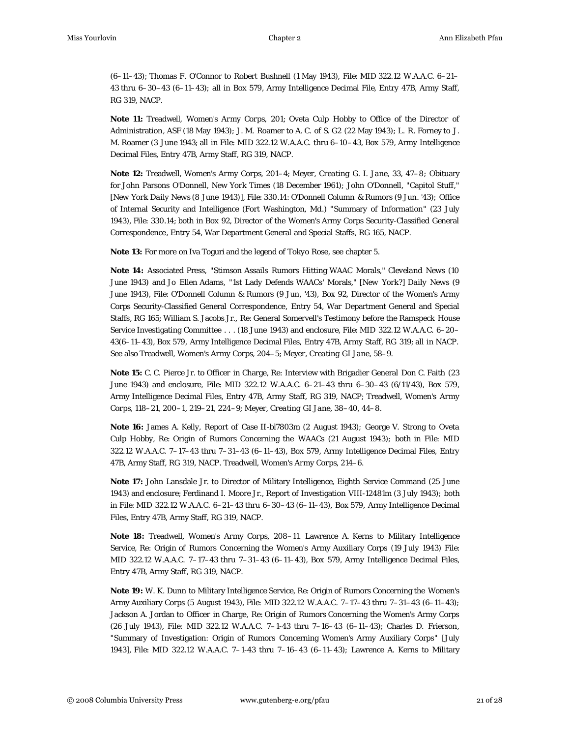(6–11–43); Thomas F. O'Connor to Robert Bushnell (1 May 1943), File: MID 322.12 W.A.A.C. 6–21– 43 thru 6–30–43 (6–11–43); all in Box 579, Army Intelligence Decimal File, Entry 47B, Army Staff, RG 319, NACP.

**Note 11:** Treadwell, *Women's Army Corps*, 201; Oveta Culp Hobby to Office of the Director of Administration, ASF (18 May 1943); J. M. Roamer to A. C. of S. G2 (22 May 1943); L. R. Forney to J. M. Roamer (3 June 1943; all in File: MID 322.12 W.A.A.C. thru 6–10–43, Box 579, Army Intelligence Decimal Files, Entry 47B, Army Staff, RG 319, NACP.

**Note 12:** Treadwell, *Women's Army Corps*, 201–4; Meyer, *Creating G. I. Jane*, 33, 47–8; Obituary for John Parsons O'Donnell, *New York Times* (18 December 1961); John O'Donnell, "Capitol Stuff," [*New York Daily News* (8 June 1943)], File: 330.14: O'Donnell Column & Rumors (9 Jun. '43); Office of Internal Security and Intelligence (Fort Washington, Md.) "Summary of Information" (23 July 1943), File: 330.14; both in Box 92, Director of the Women's Army Corps Security-Classified General Correspondence, Entry 54, War Department General and Special Staffs, RG 165, NACP.

**Note 13:** For more on Iva Toguri and the legend of *Tokyo Rose*, see chapter 5.

**Note 14:** Associated Press, "Stimson Assails Rumors Hitting WAAC Morals," *Cleveland News* (10 June 1943) and Jo Ellen Adams, "1st Lady Defends WAACs' Morals," [*New York*?] *Daily News* (9 June 1943), File: O'Donnell Column & Rumors (9 Jun, '43), Box 92, Director of the Women's Army Corps Security-Classified General Correspondence, Entry 54, War Department General and Special Staffs, RG 165; William S. Jacobs Jr., Re: General Somervell's Testimony before the Ramspeck House Service Investigating Committee . . . (18 June 1943) and enclosure, File: MID 322.12 W.A.A.C. 6–20– 43(6–11–43), Box 579, Army Intelligence Decimal Files, Entry 47B, Army Staff, RG 319; all in NACP. See also Treadwell, *Women's Army Corps*, 204–5; Meyer, *Creating GI Jane*, 58–9.

**Note 15:** C. C. Pierce Jr. to Officer in Charge, Re: Interview with Brigadier General Don C. Faith (23 June 1943) and enclosure, File: MID 322.12 W.A.A.C. 6–21–43 thru 6–30–43 (6/11/43), Box 579, Army Intelligence Decimal Files, Entry 47B, Army Staff, RG 319, NACP; Treadwell, *Women's Army Corps*, 118–21, 200–1, 219–21, 224–9; Meyer, *Creating GI Jane*, 38–40, 44–8.

**Note 16:** James A. Kelly, Report of Case II-bl7803m (2 August 1943); George V. Strong to Oveta Culp Hobby, Re: Origin of Rumors Concerning the WAACs (21 August 1943); both in File: MID 322.12 W.A.A.C. 7–17–43 thru 7–31–43 (6–11–43), Box 579, Army Intelligence Decimal Files, Entry 47B, Army Staff, RG 319, NACP. Treadwell, *Women's Army Corps*, 214–6.

**Note 17:** John Lansdale Jr. to Director of Military Intelligence, Eighth Service Command (25 June 1943) and enclosure; Ferdinand I. Moore Jr., Report of Investigation VIII-12481m (3 July 1943); both in File: MID 322.12 W.A.A.C. 6–21–43 thru 6–30–43 (6–11–43), Box 579, Army Intelligence Decimal Files, Entry 47B, Army Staff, RG 319, NACP.

**Note 18:** Treadwell, *Women's Army Corps*, 208–11. Lawrence A. Kerns to Military Intelligence Service, Re: Origin of Rumors Concerning the Women's Army Auxiliary Corps (19 July 1943) File: MID 322.12 W.A.A.C. 7–17–43 thru 7–31–43 (6–11–43), Box 579, Army Intelligence Decimal Files, Entry 47B, Army Staff, RG 319, NACP.

**Note 19:** W. K. Dunn to Military Intelligence Service, Re: Origin of Rumors Concerning the Women's Army Auxiliary Corps (5 August 1943), File: MID 322.12 W.A.A.C. 7–17–43 thru 7–31–43 (6–11–43); Jackson A. Jordan to Officer in Charge, Re: Origin of Rumors Concerning the Women's Army Corps (26 July 1943), File: MID 322.12 W.A.A.C. 7–1-43 thru 7–16–43 (6–11–43); Charles D. Frierson, "Summary of Investigation: Origin of Rumors Concerning Women's Army Auxiliary Corps" [July 1943], File: MID 322.12 W.A.A.C. 7–1-43 thru 7–16–43 (6–11–43); Lawrence A. Kerns to Military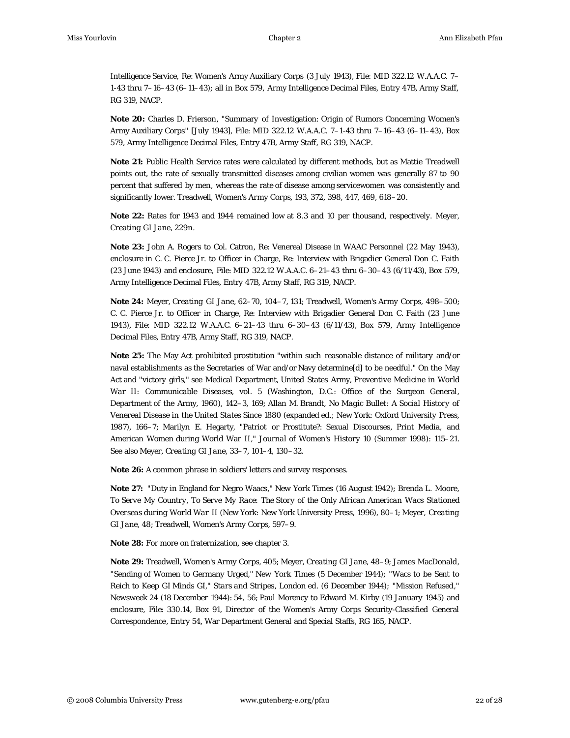Intelligence Service, Re: Women's Army Auxiliary Corps (3 July 1943), File: MID 322.12 W.A.A.C. 7– 1-43 thru 7–16–43 (6–11–43); all in Box 579, Army Intelligence Decimal Files, Entry 47B, Army Staff, RG 319, NACP.

**Note 20:** Charles D. Frierson, "Summary of Investigation: Origin of Rumors Concerning Women's Army Auxiliary Corps" [July 1943], File: MID 322.12 W.A.A.C. 7–1-43 thru 7–16–43 (6–11–43), Box 579, Army Intelligence Decimal Files, Entry 47B, Army Staff, RG 319, NACP.

**Note 21:** Public Health Service rates were calculated by different methods, but as Mattie Treadwell points out, the rate of sexually transmitted diseases among civilian women was generally 87 to 90 percent that suffered by men, whereas the rate of disease among servicewomen was consistently and significantly lower. Treadwell, *Women's Army Corps*, 193, 372, 398, 447, 469, 618–20.

**Note 22:** Rates for 1943 and 1944 remained low at 8.3 and 10 per thousand, respectively. Meyer, *Creating GI Jane*, 229n.

**Note 23:** John A. Rogers to Col. Catron, Re: Venereal Disease in WAAC Personnel (22 May 1943), enclosure in C. C. Pierce Jr. to Officer in Charge, Re: Interview with Brigadier General Don C. Faith (23 June 1943) and enclosure, File: MID 322.12 W.A.A.C. 6–21–43 thru 6–30–43 (6/11/43), Box 579, Army Intelligence Decimal Files, Entry 47B, Army Staff, RG 319, NACP.

**Note 24:** Meyer, *Creating GI Jane*, 62–70, 104–7, 131; Treadwell, *Women's Army Corps*, 498–500; C. C. Pierce Jr. to Officer in Charge, Re: Interview with Brigadier General Don C. Faith (23 June 1943), File: MID 322.12 W.A.A.C. 6–21–43 thru 6–30–43 (6/11/43), Box 579, Army Intelligence Decimal Files, Entry 47B, Army Staff, RG 319, NACP.

**Note 25:** The May Act prohibited prostitution "within such reasonable distance of military and/or naval establishments as the Secretaries of War and/or Navy determine[d] to be needful." On the May Act and "victory girls," see Medical Department, United States Army, *Preventive Medicine in World War II: Communicable Diseases*, vol. 5 (Washington, D.C.: Office of the Surgeon General, Department of the Army, 1960), 142–3, 169; Allan M. Brandt, *No Magic Bullet: A Social History of Venereal Disease in the United States Since 1880* (expanded ed.; New York: Oxford University Press, 1987), 166–7; Marilyn E. Hegarty, "Patriot or Prostitute?: Sexual Discourses, Print Media, and American Women during World War II," *Journal of Women's History* 10 (Summer 1998): 115–21. See also Meyer, *Creating GI Jane*, 33–7, 101–4, 130–32.

**Note 26:** A common phrase in soldiers' letters and survey responses.

**Note 27:** "Duty in England for Negro Waacs," *New York Times* (16 August 1942); Brenda L. Moore, *To Serve My Country, To Serve My Race: The Story of the Only African American Wacs Stationed Overseas during World War II* (New York: New York University Press, 1996), 80–1; Meyer, *Creating GI Jane*, 48; Treadwell, *Women's Army Corps*, 597–9.

**Note 28:** For more on fraternization, see chapter 3.

**Note 29:** Treadwell, *Women's Army Corps*, 405; Meyer, *Creating GI Jane*, 48–9; James MacDonald, "Sending of Women to Germany Urged," *New York Times* (5 December 1944); "Wacs to be Sent to Reich to Keep GI Minds GI," *Stars and Stripes*, London ed. (6 December 1944); "Mission Refused," *Newsweek* 24 (18 December 1944): 54, 56; Paul Morency to Edward M. Kirby (19 January 1945) and enclosure, File: 330.14, Box 91, Director of the Women's Army Corps Security-Classified General Correspondence, Entry 54, War Department General and Special Staffs, RG 165, NACP.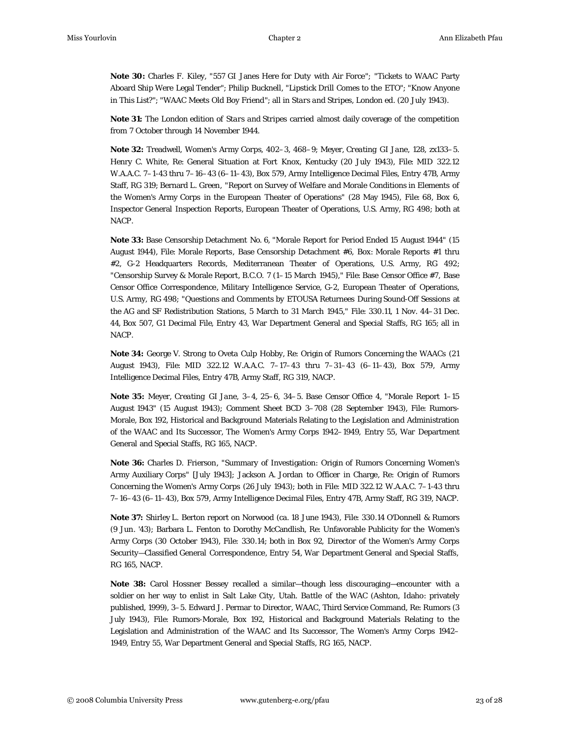**Note 30:** Charles F. Kiley, "557 GI Janes Here for Duty with Air Force"; "Tickets to WAAC Party Aboard Ship Were Legal Tender"; Philip Bucknell, "Lipstick Drill Comes to the ETO"; "Know Anyone in This List?"; "WAAC Meets Old Boy Friend"; all in *Stars and Stripes*, London ed. (20 July 1943).

**Note 31:** The London edition of *Stars and Stripes* carried almost daily coverage of the competition from 7 October through 14 November 1944.

**Note 32:** Treadwell, *Women's Army Corps*, 402–3, 468–9; Meyer, *Creating GI Jane*, 128, zx133–5. Henry C. White, Re: General Situation at Fort Knox, Kentucky (20 July 1943), File: MID 322.12 W.A.A.C. 7–1-43 thru 7–16–43 (6–11–43), Box 579, Army Intelligence Decimal Files, Entry 47B, Army Staff, RG 319; Bernard L. Green, "Report on Survey of Welfare and Morale Conditions in Elements of the Women's Army Corps in the European Theater of Operations" (28 May 1945), File: 68, Box 6, Inspector General Inspection Reports, European Theater of Operations, U.S. Army, RG 498; both at NACP.

**Note 33:** Base Censorship Detachment No. 6, "Morale Report for Period Ended 15 August 1944" (15 August 1944), File: Morale Reports, Base Censorship Detachment #6, Box: Morale Reports #1 thru #2, G-2 Headquarters Records, Mediterranean Theater of Operations, U.S. Army, RG 492; "Censorship Survey & Morale Report, B.C.O. 7 (1–15 March 1945)," File: Base Censor Office #7, Base Censor Office Correspondence, Military Intelligence Service, G-2, European Theater of Operations, U.S. Army, RG 498; "Questions and Comments by ETOUSA Returnees During Sound-Off Sessions at the AG and SF Redistribution Stations, 5 March to 31 March 1945," File: 330.11, 1 Nov. 44–31 Dec. 44, Box 507, G1 Decimal File, Entry 43, War Department General and Special Staffs, RG 165; all in NACP.

**Note 34:** George V. Strong to Oveta Culp Hobby, Re: Origin of Rumors Concerning the WAACs (21 August 1943), File: MID 322.12 W.A.A.C. 7–17–43 thru 7–31–43 (6–11–43), Box 579, Army Intelligence Decimal Files, Entry 47B, Army Staff, RG 319, NACP.

**Note 35:** Meyer, *Creating GI Jane*, 3–4, 25–6, 34–5. Base Censor Office 4, "Morale Report 1–15 August 1943" (15 August 1943); Comment Sheet BCD 3–708 (28 September 1943), File: Rumors-Morale, Box 192, Historical and Background Materials Relating to the Legislation and Administration of the WAAC and Its Successor, The Women's Army Corps 1942–1949, Entry 55, War Department General and Special Staffs, RG 165, NACP.

**Note 36:** Charles D. Frierson, "Summary of Investigation: Origin of Rumors Concerning Women's Army Auxiliary Corps" [July 1943]; Jackson A. Jordan to Officer in Charge, Re: Origin of Rumors Concerning the Women's Army Corps (26 July 1943); both in File: MID 322.12 W.A.A.C. 7–1-43 thru 7–16–43 (6–11–43), Box 579, Army Intelligence Decimal Files, Entry 47B, Army Staff, RG 319, NACP.

**Note 37:** Shirley L. Berton report on Norwood (ca. 18 June 1943), File: 330.14 O'Donnell & Rumors (9 Jun. '43); Barbara L. Fenton to Dorothy McCandlish, Re: Unfavorable Publicity for the Women's Army Corps (30 October 1943), File: 330.14; both in Box 92, Director of the Women's Army Corps Security—Classified General Correspondence, Entry 54, War Department General and Special Staffs, RG 165, NACP.

**Note 38:** Carol Hossner Bessey recalled a similar—though less discouraging—encounter with a soldier on her way to enlist in Salt Lake City, Utah. *Battle of the WAC* (Ashton, Idaho: privately published, 1999), 3–5. Edward J. Permar to Director, WAAC, Third Service Command, Re: Rumors (3 July 1943), File: Rumors-Morale, Box 192, Historical and Background Materials Relating to the Legislation and Administration of the WAAC and Its Successor, The Women's Army Corps 1942– 1949, Entry 55, War Department General and Special Staffs, RG 165, NACP.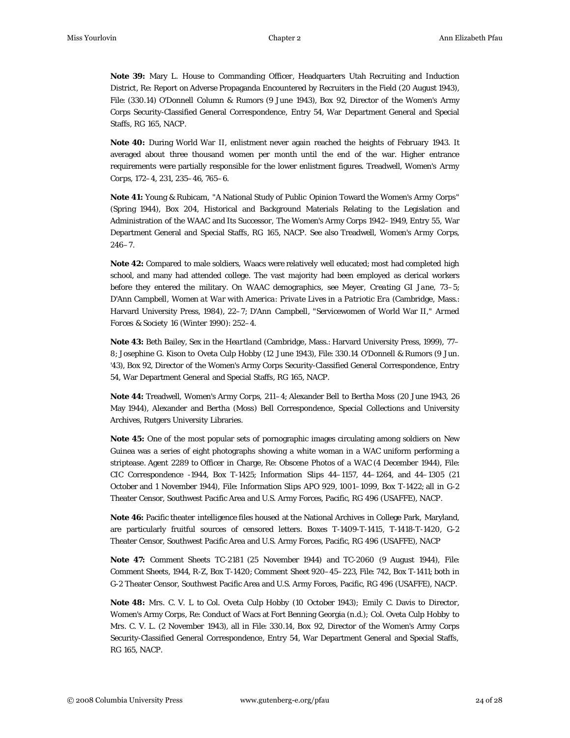**Note 39:** Mary L. House to Commanding Officer, Headquarters Utah Recruiting and Induction District, Re: Report on Adverse Propaganda Encountered by Recruiters in the Field (20 August 1943), File: (330.14) O'Donnell Column & Rumors (9 June 1943), Box 92, Director of the Women's Army Corps Security-Classified General Correspondence, Entry 54, War Department General and Special Staffs, RG 165, NACP.

**Note 40:** During World War II, enlistment never again reached the heights of February 1943. It averaged about three thousand women per month until the end of the war. Higher entrance requirements were partially responsible for the lower enlistment figures. Treadwell, *Women's Army Corps*, 172–4, 231, 235–46, 765–6.

**Note 41:** Young & Rubicam, "A National Study of Public Opinion Toward the Women's Army Corps" (Spring 1944), Box 204, Historical and Background Materials Relating to the Legislation and Administration of the WAAC and Its Successor, The Women's Army Corps 1942–1949, Entry 55, War Department General and Special Staffs, RG 165, NACP. See also Treadwell, *Women's Army Corps*,  $246 - 7.$ 

**Note 42:** Compared to male soldiers, Waacs were relatively well educated; most had completed high school, and many had attended college. The vast majority had been employed as clerical workers before they entered the military. On WAAC demographics, see Meyer, *Creating GI Jane*, 73–5; D'Ann Campbell, *Women at War with America: Private Lives in a Patriotic Era* (Cambridge, Mass.: Harvard University Press, 1984), 22–7; D'Ann Campbell, "Servicewomen of World War II," *Armed Forces & Society* 16 (Winter 1990): 252–4.

**Note 43:** Beth Bailey, *Sex in the Heartland* (Cambridge, Mass.: Harvard University Press, 1999), 77– 8; Josephine G. Kison to Oveta Culp Hobby (12 June 1943), File: 330.14 O'Donnell & Rumors (9 Jun. '43), Box 92, Director of the Women's Army Corps Security-Classified General Correspondence, Entry 54, War Department General and Special Staffs, RG 165, NACP.

**Note 44:** Treadwell, *Women's Army Corps*, 211–4; Alexander Bell to Bertha Moss (20 June 1943, 26 May 1944), Alexander and Bertha (Moss) Bell Correspondence, Special Collections and University Archives, Rutgers University Libraries.

**Note 45:** One of the most popular sets of pornographic images circulating among soldiers on New Guinea was a series of eight photographs showing a white woman in a WAC uniform performing a striptease. Agent 2289 to Officer in Charge, Re: Obscene Photos of a WAC (4 December 1944), File: CIC Correspondence -1944, Box T-1425; Information Slips 44–1157, 44–1264, and 44–1305 (21 October and 1 November 1944), File: Information Slips APO 929, 1001–1099, Box T-1422; all in G-2 Theater Censor, Southwest Pacific Area and U.S. Army Forces, Pacific, RG 496 (USAFFE), NACP.

**Note 46:** Pacific theater intelligence files housed at the National Archives in College Park, Maryland, are particularly fruitful sources of censored letters. Boxes T-1409-T-1415, T-1418-T-1420, G-2 Theater Censor, Southwest Pacific Area and U.S. Army Forces, Pacific, RG 496 (USAFFE), NACP

**Note 47:** Comment Sheets TC-2181 (25 November 1944) and TC-2060 (9 August 1944), File: Comment Sheets, 1944, R-Z, Box T-1420; Comment Sheet 920–45–223, File: 742, Box T-1411; both in G-2 Theater Censor, Southwest Pacific Area and U.S. Army Forces, Pacific, RG 496 (USAFFE), NACP.

**Note 48:** Mrs. C. V. L to Col. Oveta Culp Hobby (10 October 1943); Emily C. Davis to Director, Women's Army Corps, Re: Conduct of Wacs at Fort Benning Georgia (n.d.); Col. Oveta Culp Hobby to Mrs. C. V. L. (2 November 1943), all in File: 330.14, Box 92, Director of the Women's Army Corps Security-Classified General Correspondence, Entry 54, War Department General and Special Staffs, RG 165, NACP.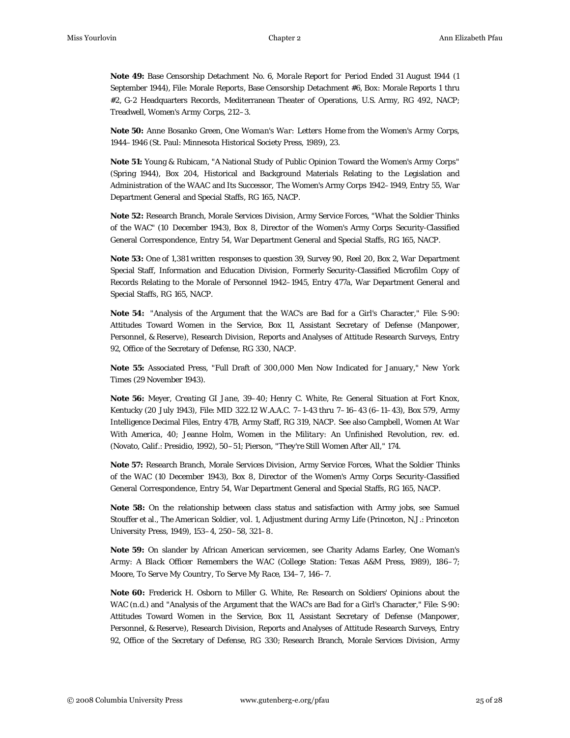**Note 49:** Base Censorship Detachment No. 6, *Morale Report for Period Ended 31 August 1944* (1 September 1944), File: Morale Reports, Base Censorship Detachment #6, Box: Morale Reports 1 thru #2, G-2 Headquarters Records, Mediterranean Theater of Operations, U.S. Army, RG 492, NACP; Treadwell, *Women's Army Corps*, 212–3.

**Note 50:** Anne Bosanko Green, *One Woman's War: Letters Home from the Women's Army Corps, 1944–1946* (St. Paul: Minnesota Historical Society Press, 1989), 23.

**Note 51:** Young & Rubicam, "A National Study of Public Opinion Toward the Women's Army Corps" (Spring 1944), Box 204, Historical and Background Materials Relating to the Legislation and Administration of the WAAC and Its Successor, The Women's Army Corps 1942–1949, Entry 55, War Department General and Special Staffs, RG 165, NACP.

**Note 52:** Research Branch, Morale Services Division, Army Service Forces, "What the Soldier Thinks of the WAC" (10 December 1943), Box 8, Director of the Women's Army Corps Security-Classified General Correspondence, Entry 54, War Department General and Special Staffs, RG 165, NACP.

**Note 53:** One of 1,381 written responses to question 39, Survey 90, Reel 20, Box 2, War Department Special Staff, Information and Education Division, Formerly Security-Classified Microfilm Copy of Records Relating to the Morale of Personnel 1942–1945, Entry 477a, War Department General and Special Staffs, RG 165, NACP.

**Note 54:** "Analysis of the Argument that the WAC's are Bad for a Girl's Character," File: S-90: Attitudes Toward Women in the Service, Box 11, Assistant Secretary of Defense (Manpower, Personnel, & Reserve), Research Division, Reports and Analyses of Attitude Research Surveys, Entry 92, Office of the Secretary of Defense, RG 330, NACP.

**Note 55:** Associated Press, "Full Draft of 300,000 Men Now Indicated for January," *New York Times* (29 November 1943).

**Note 56:** Meyer, *Creating GI Jane*, 39–40; Henry C. White, Re: General Situation at Fort Knox, Kentucky (20 July 1943), File: MID 322.12 W.A.A.C. 7–1-43 thru 7–16–43 (6–11–43), Box 579, Army Intelligence Decimal Files, Entry 47B, Army Staff, RG 319, NACP. See also Campbell, *Women At War With America*, 40; Jeanne Holm, *Women in the Military: An Unfinished Revolution*, rev. ed. (Novato, Calif.: Presidio, 1992), 50–51; Pierson, *"They're Still Women After All,"* 174.

**Note 57:** Research Branch, Morale Services Division, Army Service Forces, *What the Soldier Thinks of the WAC* (10 December 1943), Box 8, Director of the Women's Army Corps Security-Classified General Correspondence, Entry 54, War Department General and Special Staffs, RG 165, NACP.

**Note 58:** On the relationship between class status and satisfaction with Army jobs, see Samuel Stouffer et al., *The American Soldier*, vol. 1, *Adjustment during Army Life* (Princeton, N.J.: Princeton University Press, 1949), 153–4, 250–58, 321–8.

**Note 59:** On slander by African American servicemen, see Charity Adams Earley, *One Woman's Army: A Black Officer Remembers the WAC* (College Station: Texas A&M Press, 1989), 186–7; Moore, *To Serve My Country, To Serve My Race*, 134–7, 146–7.

**Note 60:** Frederick H. Osborn to Miller G. White, Re: Research on Soldiers' Opinions about the WAC (n.d.) and "Analysis of the Argument that the WAC's are Bad for a Girl's Character," File: S-90: Attitudes Toward Women in the Service, Box 11, Assistant Secretary of Defense (Manpower, Personnel, & Reserve), Research Division, Reports and Analyses of Attitude Research Surveys, Entry 92, Office of the Secretary of Defense, RG 330; Research Branch, Morale Services Division, Army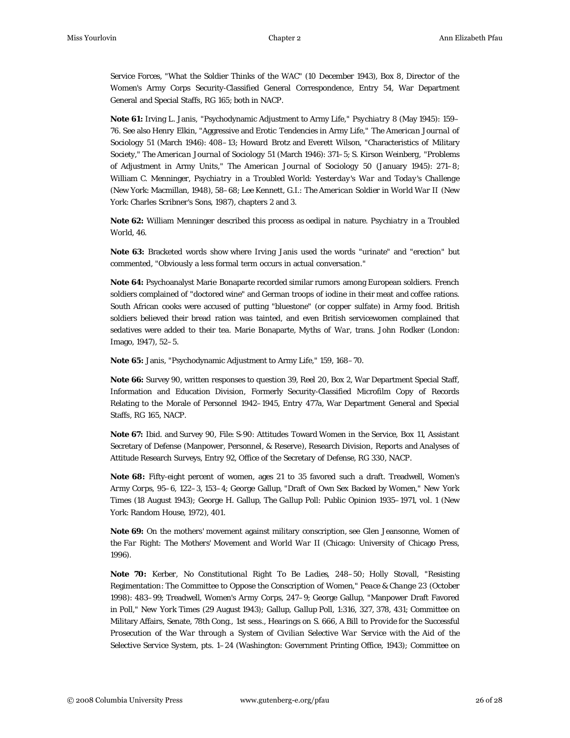Service Forces, "What the Soldier Thinks of the WAC" (10 December 1943), Box 8, Director of the Women's Army Corps Security-Classified General Correspondence, Entry 54, War Department General and Special Staffs, RG 165; both in NACP.

**Note 61:** Irving L. Janis, "Psychodynamic Adjustment to Army Life," *Psychiatry* 8 (May 1945): 159– 76. See also Henry Elkin, "Aggressive and Erotic Tendencies in Army Life," *The American Journal of Sociology* 51 (March 1946): 408–13; Howard Brotz and Everett Wilson, "Characteristics of Military Society," *The American Journal of Sociology* 51 (March 1946): 371–5; S. Kirson Weinberg, "Problems of Adjustment in Army Units," *The American Journal of Sociology* 50 (January 1945): 271–8; William C. Menninger, *Psychiatry in a Troubled World: Yesterday's War and Today's Challenge* (New York: Macmillan, 1948), 58–68; Lee Kennett, *G.I.: The American Soldier in World War II* (New York: Charles Scribner's Sons, 1987), chapters 2 and 3.

**Note 62:** William Menninger described this process as oedipal in nature. *Psychiatry in a Troubled World*, 46.

**Note 63:** Bracketed words show where Irving Janis used the words "urinate" and "erection" but commented, "Obviously a less formal term occurs in actual conversation."

**Note 64:** Psychoanalyst Marie Bonaparte recorded similar rumors among European soldiers. French soldiers complained of "doctored wine" and German troops of iodine in their meat and coffee rations. South African cooks were accused of putting "bluestone" (or copper sulfate) in Army food. British soldiers believed their bread ration was tainted, and even British servicewomen complained that sedatives were added to their tea. Marie Bonaparte, *Myths of War*, trans. John Rodker (London: Imago, 1947), 52–5.

**Note 65:** Janis, "Psychodynamic Adjustment to Army Life," 159, 168–70.

**Note 66:** Survey 90, written responses to question 39, Reel 20, Box 2, War Department Special Staff, Information and Education Division, Formerly Security-Classified Microfilm Copy of Records Relating to the Morale of Personnel 1942–1945, Entry 477a, War Department General and Special Staffs, RG 165, NACP.

**Note 67:** Ibid. and Survey 90, File: S-90: Attitudes Toward Women in the Service, Box 11, Assistant Secretary of Defense (Manpower, Personnel, & Reserve), Research Division, Reports and Analyses of Attitude Research Surveys, Entry 92, Office of the Secretary of Defense, RG 330, NACP.

**Note 68:** Fifty-eight percent of women, ages 21 to 35 favored such a draft. Treadwell, *Women's Army Corps*, 95–6, 122–3, 153–4; George Gallup, "Draft of Own Sex Backed by Women," *New York Times* (18 August 1943); George H. Gallup, *The Gallup Poll: Public Opinion 1935–1971*, vol. 1 (New York: Random House, 1972), 401.

**Note 69:** On the mothers' movement against military conscription, see Glen Jeansonne, *Women of the Far Right: The Mothers' Movement and World War II* (Chicago: University of Chicago Press, 1996).

**Note 70:** Kerber, *No Constitutional Right To Be Ladies*, 248–50; Holly Stovall, "Resisting Regimentation: The Committee to Oppose the Conscription of Women," *Peace & Change* 23 (October 1998): 483–99; Treadwell, *Women's Army Corps*, 247–9; George Gallup, "Manpower Draft Favored in Poll," *New York Times* (29 August 1943); Gallup, *Gallup Poll*, 1:316, 327, 378, 431; Committee on Military Affairs, Senate, 78th Cong., 1st sess., *Hearings on S. 666, A Bill to Provide for the Successful Prosecution of the War through a System of Civilian Selective War Service with the Aid of the Selective Service System*, pts. 1–24 (Washington: Government Printing Office, 1943); Committee on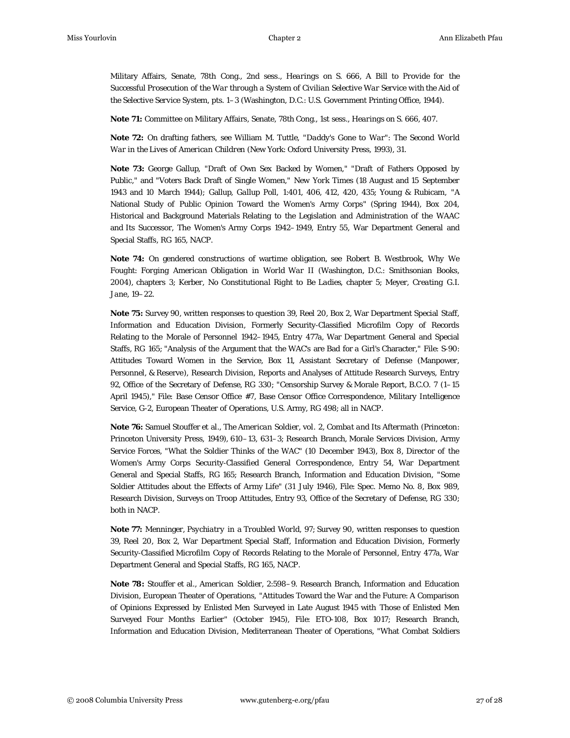Military Affairs, Senate, 78th Cong., 2nd sess., *Hearings on S. 666, A Bill to Provide for the Successful Prosecution of the War through a System of Civilian Selective War Service with the Aid of the Selective Service System*, pts. 1–3 (Washington, D.C.: U.S. Government Printing Office, 1944).

**Note 71:** Committee on Military Affairs, Senate, 78th Cong., 1st sess., *Hearings on S. 666*, 407.

**Note 72:** On drafting fathers, see William M. Tuttle, "*Daddy's Gone to War": The Second World War in the Lives of American Children* (New York: Oxford University Press, 1993), 31.

**Note 73:** George Gallup, "Draft of Own Sex Backed by Women," "Draft of Fathers Opposed by Public," and "Voters Back Draft of Single Women," *New York Times* (18 August and 15 September 1943 and 10 March 1944); Gallup, *Gallup Poll*, 1:401, 406, 412, 420, 435; Young & Rubicam, "A National Study of Public Opinion Toward the Women's Army Corps" (Spring 1944), Box 204, Historical and Background Materials Relating to the Legislation and Administration of the WAAC and Its Successor, The Women's Army Corps 1942–1949, Entry 55, War Department General and Special Staffs, RG 165, NACP.

**Note 74:** On gendered constructions of wartime obligation, see Robert B. Westbrook, *Why We Fought: Forging American Obligation in World War II* (Washington, D.C.: Smithsonian Books, 2004), chapters 3; Kerber, *No Constitutional Right to Be Ladies*, chapter 5; Meyer, *Creating G.I. Jane*, 19–22.

**Note 75:** Survey 90, written responses to question 39, Reel 20, Box 2, War Department Special Staff, Information and Education Division, Formerly Security-Classified Microfilm Copy of Records Relating to the Morale of Personnel 1942–1945, Entry 477a, War Department General and Special Staffs, RG 165; "Analysis of the Argument that the WAC's are Bad for a Girl's Character," File: S-90: Attitudes Toward Women in the Service, Box 11, Assistant Secretary of Defense (Manpower, Personnel, & Reserve), Research Division, Reports and Analyses of Attitude Research Surveys, Entry 92, Office of the Secretary of Defense, RG 330; "Censorship Survey & Morale Report, B.C.O. 7 (1–15 April 1945)," File: Base Censor Office #7, Base Censor Office Correspondence, Military Intelligence Service, G-2, European Theater of Operations, U.S. Army, RG 498; all in NACP.

**Note 76:** Samuel Stouffer et al., *The American Soldier*, vol. 2, *Combat and Its Aftermath* (Princeton: Princeton University Press, 1949), 610–13, 631–3; Research Branch, Morale Services Division, Army Service Forces, "What the Soldier Thinks of the WAC" (10 December 1943), Box 8, Director of the Women's Army Corps Security-Classified General Correspondence, Entry 54, War Department General and Special Staffs, RG 165; Research Branch, Information and Education Division, "Some Soldier Attitudes about the Effects of Army Life" (31 July 1946), File: Spec. Memo No. 8, Box 989, Research Division, Surveys on Troop Attitudes, Entry 93, Office of the Secretary of Defense, RG 330; both in NACP.

**Note 77:** Menninger, *Psychiatry in a Troubled World*, 97; Survey 90, written responses to question 39, Reel 20, Box 2, War Department Special Staff, Information and Education Division, Formerly Security-Classified Microfilm Copy of Records Relating to the Morale of Personnel, Entry 477a, War Department General and Special Staffs, RG 165, NACP.

**Note 78:** Stouffer et al., *American Soldier*, 2:598–9. Research Branch, Information and Education Division, European Theater of Operations, "Attitudes Toward the War and the Future: A Comparison of Opinions Expressed by Enlisted Men Surveyed in Late August 1945 with Those of Enlisted Men Surveyed Four Months Earlier" (October 1945), File: ETO-108, Box 1017; Research Branch, Information and Education Division, Mediterranean Theater of Operations, "What Combat Soldiers